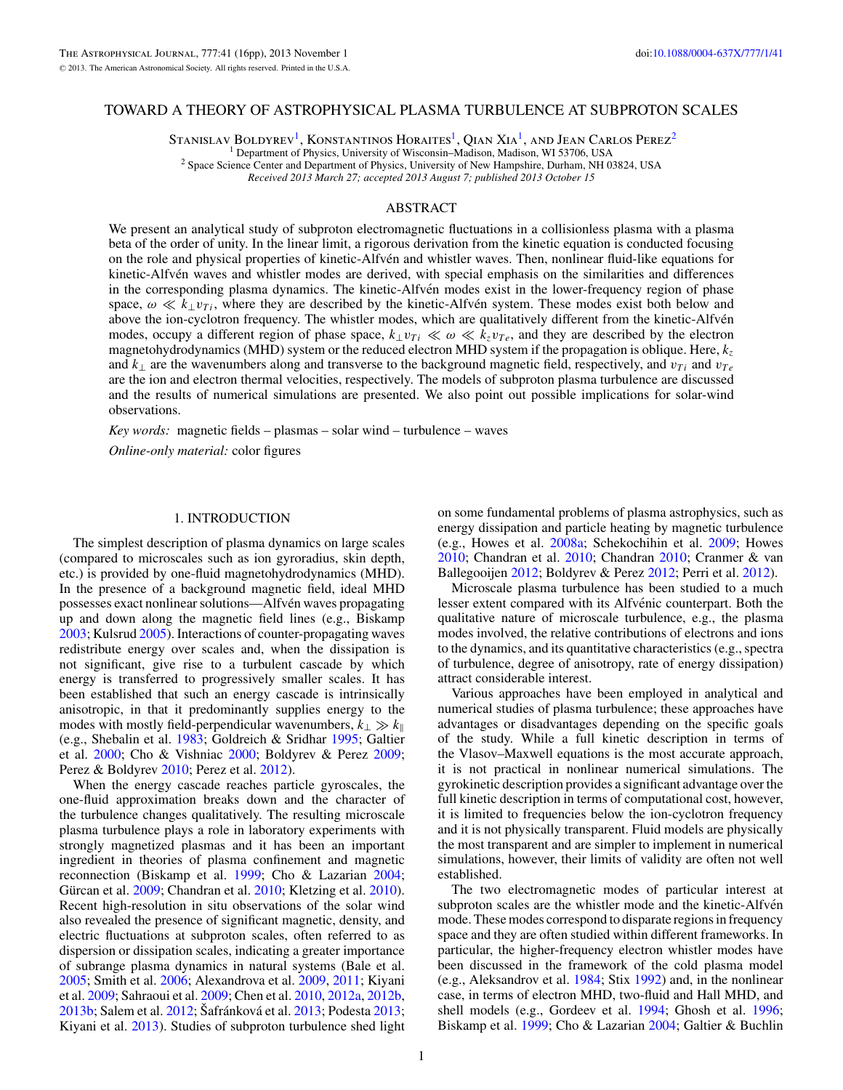## TOWARD A THEORY OF ASTROPHYSICAL PLASMA TURBULENCE AT SUBPROTON SCALES

STANISLAV BOLDYREV<sup>1</sup>, KONSTANTINOS HORAITES<sup>1</sup>, QIAN XIA<sup>1</sup>, AND JEAN CARLOS PEREZ<sup>2</sup><sup>1</sup> Department of Physics, University of Wisconsin–Madison, Madison, WI 53706, USA

<sup>2</sup> Space Science Center and Department of Physics, University of New Hampshire, Durham, NH 03824, USA

*Received 2013 March 27; accepted 2013 August 7; published 2013 October 15*

## ABSTRACT

We present an analytical study of subproton electromagnetic fluctuations in a collisionless plasma with a plasma beta of the order of unity. In the linear limit, a rigorous derivation from the kinetic equation is conducted focusing on the role and physical properties of kinetic-Alfvén and whistler waves. Then, nonlinear fluid-like equations for kinetic-Alfven waves and whistler modes are derived, with special emphasis on the similarities and differences ´ in the corresponding plasma dynamics. The kinetic-Alfven modes exist in the lower-frequency region of phase space,  $\omega \ll k_{\perp} v_{Ti}$ , where they are described by the kinetic-Alfven system. These modes exist both below and above the ion-cyclotron frequency. The whistler modes, which are qualitatively different from the kinetic-Alfvén modes, occupy a different region of phase space,  $k_1v_{Ti} \ll \omega \ll k_zv_{Te}$ , and they are described by the electron magnetohydrodynamics (MHD) system or the reduced electron MHD system if the propagation is oblique. Here, *kz* and  $k_{\perp}$  are the wavenumbers along and transverse to the background magnetic field, respectively, and  $v_{Ti}$  and  $v_{Te}$ are the ion and electron thermal velocities, respectively. The models of subproton plasma turbulence are discussed and the results of numerical simulations are presented. We also point out possible implications for solar-wind observations.

*Key words:* magnetic fields – plasmas – solar wind – turbulence – waves

*Online-only material:* color figures

### 1. INTRODUCTION

The simplest description of plasma dynamics on large scales (compared to microscales such as ion gyroradius, skin depth, etc.) is provided by one-fluid magnetohydrodynamics (MHD). In the presence of a background magnetic field, ideal MHD possesses exact nonlinear solutions—Alfvén waves propagating up and down along the magnetic field lines (e.g., Biskamp [2003;](#page-14-0) Kulsrud [2005\)](#page-15-0). Interactions of counter-propagating waves redistribute energy over scales and, when the dissipation is not significant, give rise to a turbulent cascade by which energy is transferred to progressively smaller scales. It has been established that such an energy cascade is intrinsically anisotropic, in that it predominantly supplies energy to the modes with mostly field-perpendicular wavenumbers,  $k_{\perp} \gg k_{\parallel}$ (e.g., Shebalin et al. [1983;](#page-15-0) Goldreich & Sridhar [1995;](#page-15-0) Galtier et al. [2000;](#page-15-0) Cho & Vishniac [2000;](#page-15-0) Boldyrev & Perez [2009;](#page-14-0) Perez & Boldyrev [2010;](#page-15-0) Perez et al. [2012\)](#page-15-0).

When the energy cascade reaches particle gyroscales, the one-fluid approximation breaks down and the character of the turbulence changes qualitatively. The resulting microscale plasma turbulence plays a role in laboratory experiments with strongly magnetized plasmas and it has been an important ingredient in theories of plasma confinement and magnetic reconnection (Biskamp et al. [1999;](#page-14-0) Cho & Lazarian [2004;](#page-15-0) Gürcan et al. [2009;](#page-15-0) Chandran et al. [2010;](#page-15-0) Kletzing et al. [2010\)](#page-15-0). Recent high-resolution in situ observations of the solar wind also revealed the presence of significant magnetic, density, and electric fluctuations at subproton scales, often referred to as dispersion or dissipation scales, indicating a greater importance of subrange plasma dynamics in natural systems (Bale et al. [2005;](#page-14-0) Smith et al. [2006;](#page-15-0) Alexandrova et al. [2009,](#page-14-0) [2011;](#page-14-0) Kiyani et al. [2009;](#page-15-0) Sahraoui et al. [2009;](#page-15-0) Chen et al. [2010,](#page-15-0) [2012a,](#page-15-0) [2012b,](#page-15-0) [2013b;](#page-15-0) Salem et al. [2012;](#page-15-0) Šafránková et al. [2013;](#page-15-0) Podesta 2013; Kiyani et al. [2013\)](#page-15-0). Studies of subproton turbulence shed light

on some fundamental problems of plasma astrophysics, such as energy dissipation and particle heating by magnetic turbulence (e.g., Howes et al. [2008a;](#page-15-0) Schekochihin et al. [2009;](#page-15-0) Howes [2010;](#page-15-0) Chandran et al. [2010;](#page-15-0) Chandran [2010;](#page-15-0) Cranmer & van Ballegooijen [2012;](#page-15-0) Boldyrev & Perez [2012;](#page-14-0) Perri et al. [2012\)](#page-15-0).

Microscale plasma turbulence has been studied to a much lesser extent compared with its Alfvénic counterpart. Both the qualitative nature of microscale turbulence, e.g., the plasma modes involved, the relative contributions of electrons and ions to the dynamics, and its quantitative characteristics (e.g., spectra of turbulence, degree of anisotropy, rate of energy dissipation) attract considerable interest.

Various approaches have been employed in analytical and numerical studies of plasma turbulence; these approaches have advantages or disadvantages depending on the specific goals of the study. While a full kinetic description in terms of the Vlasov–Maxwell equations is the most accurate approach, it is not practical in nonlinear numerical simulations. The gyrokinetic description provides a significant advantage over the full kinetic description in terms of computational cost, however, it is limited to frequencies below the ion-cyclotron frequency and it is not physically transparent. Fluid models are physically the most transparent and are simpler to implement in numerical simulations, however, their limits of validity are often not well established.

The two electromagnetic modes of particular interest at subproton scales are the whistler mode and the kinetic-Alfven mode. These modes correspond to disparate regions in frequency space and they are often studied within different frameworks. In particular, the higher-frequency electron whistler modes have been discussed in the framework of the cold plasma model (e.g., Aleksandrov et al. [1984;](#page-14-0) Stix [1992\)](#page-15-0) and, in the nonlinear case, in terms of electron MHD, two-fluid and Hall MHD, and shell models (e.g., Gordeev et al. [1994;](#page-15-0) Ghosh et al. [1996;](#page-15-0) Biskamp et al. [1999;](#page-14-0) Cho & Lazarian [2004;](#page-15-0) Galtier & Buchlin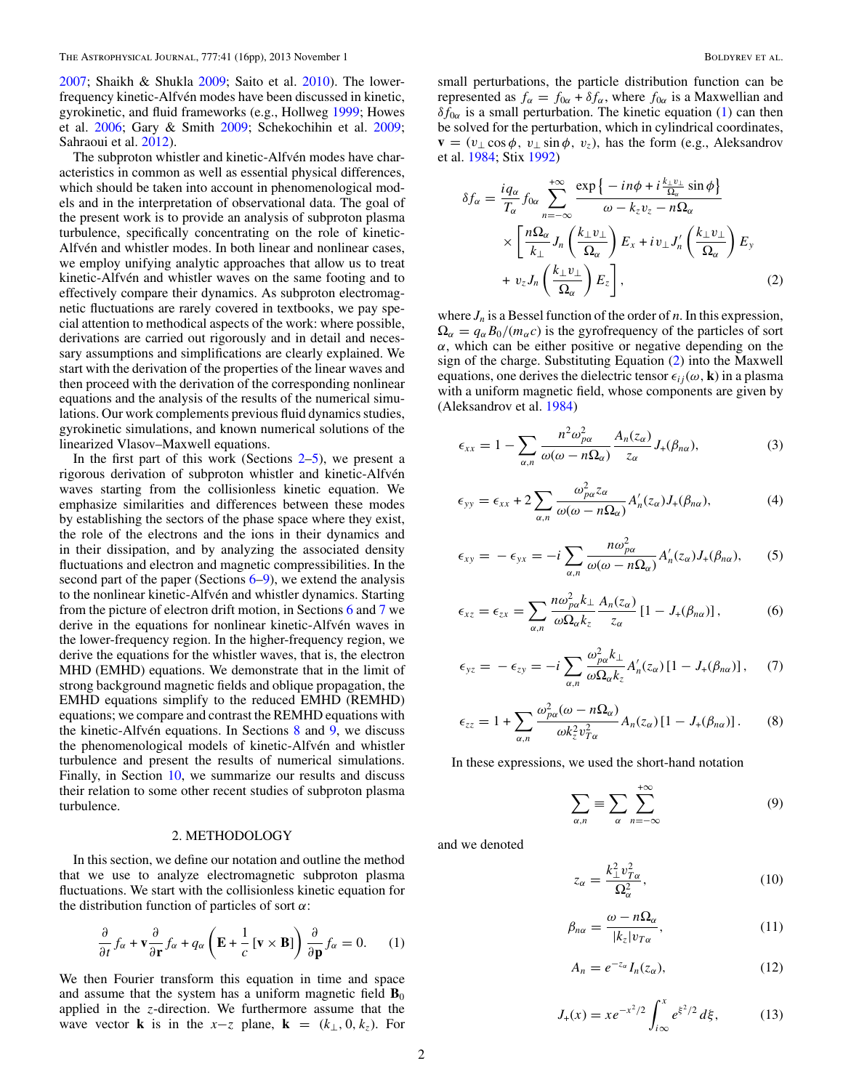<span id="page-1-0"></span>[2007;](#page-15-0) Shaikh & Shukla [2009;](#page-15-0) Saito et al. [2010\)](#page-15-0). The lowerfrequency kinetic-Alfvén modes have been discussed in kinetic, gyrokinetic, and fluid frameworks (e.g., Hollweg [1999;](#page-15-0) Howes et al. [2006;](#page-15-0) Gary & Smith [2009;](#page-15-0) Schekochihin et al. [2009;](#page-15-0) Sahraoui et al. [2012\)](#page-15-0).

The subproton whistler and kinetic-Alfvén modes have characteristics in common as well as essential physical differences, which should be taken into account in phenomenological models and in the interpretation of observational data. The goal of the present work is to provide an analysis of subproton plasma turbulence, specifically concentrating on the role of kinetic-Alfvén and whistler modes. In both linear and nonlinear cases, we employ unifying analytic approaches that allow us to treat kinetic-Alfvén and whistler waves on the same footing and to effectively compare their dynamics. As subproton electromagnetic fluctuations are rarely covered in textbooks, we pay special attention to methodical aspects of the work: where possible, derivations are carried out rigorously and in detail and necessary assumptions and simplifications are clearly explained. We start with the derivation of the properties of the linear waves and then proceed with the derivation of the corresponding nonlinear equations and the analysis of the results of the numerical simulations. Our work complements previous fluid dynamics studies, gyrokinetic simulations, and known numerical solutions of the linearized Vlasov–Maxwell equations.

In the first part of this work (Sections  $2-5$ ), we present a rigorous derivation of subproton whistler and kinetic-Alfvén waves starting from the collisionless kinetic equation. We emphasize similarities and differences between these modes by establishing the sectors of the phase space where they exist, the role of the electrons and the ions in their dynamics and in their dissipation, and by analyzing the associated density fluctuations and electron and magnetic compressibilities. In the second part of the paper (Sections  $6-9$  $6-9$ ), we extend the analysis to the nonlinear kinetic-Alfvén and whistler dynamics. Starting from the picture of electron drift motion, in Sections [6](#page-7-0) and [7](#page-10-0) we derive in the equations for nonlinear kinetic-Alfvén waves in the lower-frequency region. In the higher-frequency region, we derive the equations for the whistler waves, that is, the electron MHD (EMHD) equations. We demonstrate that in the limit of strong background magnetic fields and oblique propagation, the EMHD equations simplify to the reduced EMHD (REMHD) equations; we compare and contrast the REMHD equations with the kinetic-Alfvén equations. In Sections  $\frac{8}{9}$  $\frac{8}{9}$  $\frac{8}{9}$  and  $\frac{9}{9}$ , we discuss the phenomenological models of kinetic-Alfvén and whistler turbulence and present the results of numerical simulations. Finally, in Section [10,](#page-14-0) we summarize our results and discuss their relation to some other recent studies of subproton plasma turbulence.

### 2. METHODOLOGY

In this section, we define our notation and outline the method that we use to analyze electromagnetic subproton plasma fluctuations. We start with the collisionless kinetic equation for the distribution function of particles of sort *α*:

$$
\frac{\partial}{\partial t} f_{\alpha} + \mathbf{v} \frac{\partial}{\partial \mathbf{r}} f_{\alpha} + q_{\alpha} \left( \mathbf{E} + \frac{1}{c} \left[ \mathbf{v} \times \mathbf{B} \right] \right) \frac{\partial}{\partial \mathbf{p}} f_{\alpha} = 0. \quad (1)
$$

We then Fourier transform this equation in time and space and assume that the system has a uniform magnetic field  $\mathbf{B}_0$ applied in the *z*-direction. We furthermore assume that the wave vector **k** is in the  $x-z$  plane, **k** = ( $k_{\perp}$ , 0*, k<sub>z</sub>*). For

small perturbations, the particle distribution function can be represented as  $f_{\alpha} = f_{0\alpha} + \delta f_{\alpha}$ , where  $f_{0\alpha}$  is a Maxwellian and  $\delta f_{0\alpha}$  is a small perturbation. The kinetic equation (1) can then be solved for the perturbation, which in cylindrical coordinates,  $\mathbf{v} = (v_{\perp} \cos \phi, v_{\perp} \sin \phi, v_z)$ , has the form (e.g., Aleksandrov et al. [1984;](#page-14-0) Stix [1992\)](#page-15-0)

$$
\delta f_{\alpha} = \frac{i q_{\alpha}}{T_{\alpha}} f_{0\alpha} \sum_{n=-\infty}^{+\infty} \frac{\exp \{-in \phi + i \frac{k_{\perp}v_{\perp}}{\Omega_{\alpha}} \sin \phi\}}{\omega - k_{z}v_{z} - n\Omega_{\alpha}}
$$

$$
\times \left[ \frac{n \Omega_{\alpha}}{k_{\perp}} J_{n} \left( \frac{k_{\perp}v_{\perp}}{\Omega_{\alpha}} \right) E_{x} + iv_{\perp} J'_{n} \left( \frac{k_{\perp}v_{\perp}}{\Omega_{\alpha}} \right) E_{y} + v_{z} J_{n} \left( \frac{k_{\perp}v_{\perp}}{\Omega_{\alpha}} \right) E_{z} \right], \tag{2}
$$

where  $J_n$  is a Bessel function of the order of *n*. In this expression,  $\Omega_{\alpha} = q_{\alpha} B_0 / (m_{\alpha} c)$  is the gyrofrequency of the particles of sort  $\alpha$ , which can be either positive or negative depending on the sign of the charge. Substituting Equation (2) into the Maxwell equations, one derives the dielectric tensor  $\epsilon_{ij}(\omega, \mathbf{k})$  in a plasma with a uniform magnetic field, whose components are given by (Aleksandrov et al. [1984\)](#page-14-0)

$$
\epsilon_{xx} = 1 - \sum_{\alpha,n} \frac{n^2 \omega_{p\alpha}^2}{\omega(\omega - n\Omega_{\alpha})} \frac{A_n(z_{\alpha})}{z_{\alpha}} J_+(\beta_{n\alpha}), \tag{3}
$$

$$
\epsilon_{yy} = \epsilon_{xx} + 2 \sum_{\alpha,n} \frac{\omega_{p\alpha}^2 z_{\alpha}}{\omega(\omega - n\Omega_{\alpha})} A'_n(z_{\alpha}) J_+(\beta_{n\alpha}), \tag{4}
$$

$$
\epsilon_{xy} = -\epsilon_{yx} = -i \sum_{\alpha,n} \frac{n\omega_{p\alpha}^2}{\omega(\omega - n\Omega_{\alpha})} A'_n(z_{\alpha}) J_+(\beta_{n\alpha}), \qquad (5)
$$

$$
\epsilon_{xz} = \epsilon_{zx} = \sum_{\alpha,n} \frac{n\omega_{p\alpha}^2 k_{\perp}}{\omega \Omega_{\alpha} k_{z}} \frac{A_{n}(z_{\alpha})}{z_{\alpha}} \left[1 - J_{+}(\beta_{n\alpha})\right],\tag{6}
$$

$$
\epsilon_{yz} = -\epsilon_{zy} = -i \sum_{\alpha,n} \frac{\omega_{p\alpha}^2 k_{\perp}}{\omega \Omega_{\alpha} k_z} A'_n(z_{\alpha}) [1 - J_+(\beta_{n\alpha})], \quad (7)
$$

$$
\epsilon_{zz} = 1 + \sum_{\alpha,n} \frac{\omega_{p\alpha}^2(\omega - n\Omega_{\alpha})}{\omega k_z^2 v_{T\alpha}^2} A_n(z_{\alpha}) [1 - J_+(\beta_{n\alpha})]. \tag{8}
$$

In these expressions, we used the short-hand notation

$$
\sum_{\alpha,n} \equiv \sum_{\alpha} \sum_{n=-\infty}^{+\infty} \tag{9}
$$

and we denoted

$$
z_{\alpha} = \frac{k_{\perp}^2 v_{T\alpha}^2}{\Omega_{\alpha}^2},\tag{10}
$$

$$
\beta_{n\alpha} = \frac{\omega - n\Omega_{\alpha}}{|k_z|v_{T\alpha}},\tag{11}
$$

$$
A_n = e^{-z_\alpha} I_n(z_\alpha), \tag{12}
$$

$$
J_{+}(x) = xe^{-x^{2}/2} \int_{i\infty}^{x} e^{\xi^{2}/2} d\xi, \qquad (13)
$$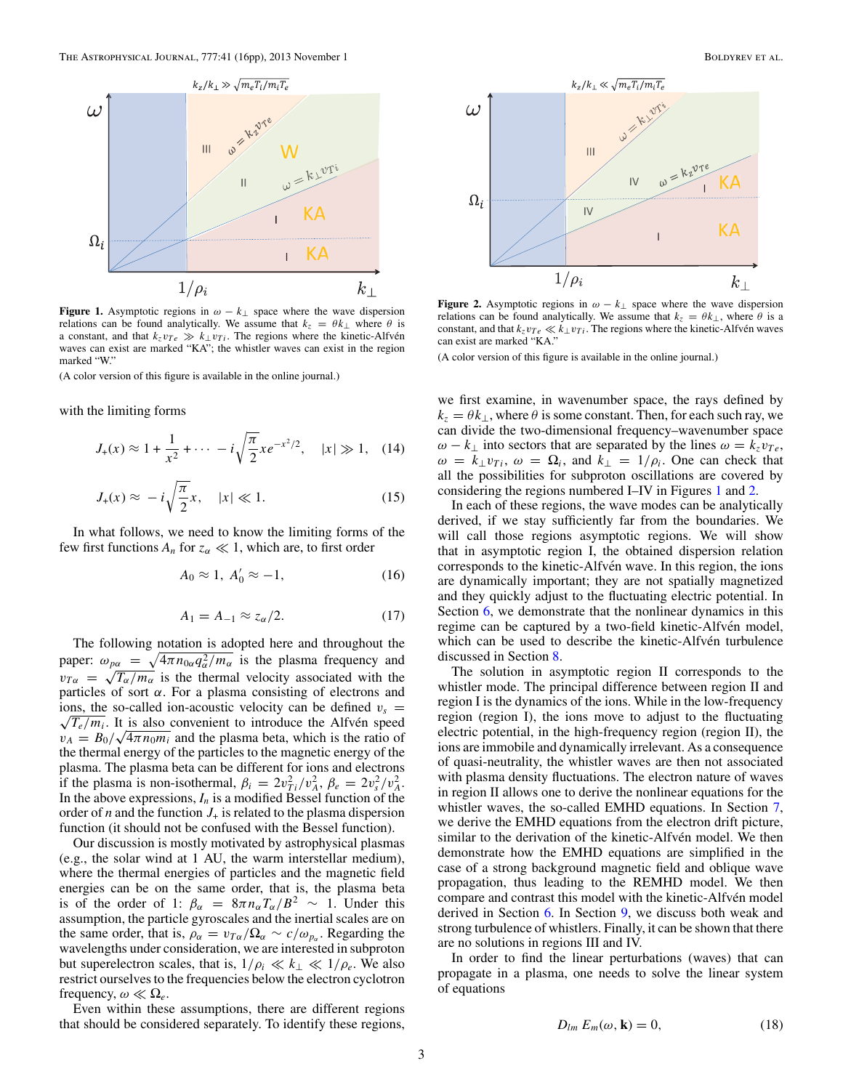<span id="page-2-0"></span>

**Figure 1.** Asymptotic regions in  $\omega - k_{\perp}$  space where the wave dispersion relations can be found analytically. We assume that  $k_z = \theta k_\perp$  where  $\theta$  is a constant, and that  $k_z v_{Te} \gg k_\perp v_{Ti}$ . The regions where the kinetic-Alfvén waves can exist are marked "KA"; the whistler waves can exist in the region marked "W."

(A color version of this figure is available in the online journal.)

with the limiting forms

$$
J_{+}(x) \approx 1 + \frac{1}{x^{2}} + \cdots - i\sqrt{\frac{\pi}{2}}xe^{-x^{2}/2}, \quad |x| \gg 1, \quad (14)
$$

$$
J_{+}(x) \approx -i\sqrt{\frac{\pi}{2}}x, \quad |x| \ll 1. \tag{15}
$$

In what follows, we need to know the limiting forms of the few first functions  $A_n$  for  $z_\alpha \ll 1$ , which are, to first order

$$
A_0 \approx 1, A'_0 \approx -1,\tag{16}
$$

$$
A_1 = A_{-1} \approx z_\alpha/2. \tag{17}
$$

The following notation is adopted here and throughout the paper:  $\omega_{p\alpha} = \sqrt{4\pi n_{0\alpha} q_{\alpha}^2/m_{\alpha}}$  is the plasma frequency and  $v_{T\alpha} = \sqrt{T_{\alpha}/m_{\alpha}}$  is the thermal velocity associated with the particles of sort *α*. For a plasma consisting of electrons and ions, the so-called ion-acoustic velocity can be defined  $v_s = \frac{1}{\sqrt{2}}$  $\sqrt{T_e/m_i}$ . It is also convenient to introduce the Alfvén speed  $v_A = B_0 / \sqrt{4\pi n_0 m_i}$  and the plasma beta, which is the ratio of the thermal energy of the particles to the magnetic energy of the plasma. The plasma beta can be different for ions and electrons if the plasma is non-isothermal,  $\beta_i = 2v_{Ti}^2/v_A^2$ ,  $\beta_e = 2v_s^2/v_A^2$ . In the above expressions,  $I_n$  is a modified Bessel function of the order of *n* and the function  $J_{+}$  is related to the plasma dispersion function (it should not be confused with the Bessel function).

Our discussion is mostly motivated by astrophysical plasmas (e.g., the solar wind at 1 AU, the warm interstellar medium), where the thermal energies of particles and the magnetic field energies can be on the same order, that is, the plasma beta is of the order of 1:  $\beta_{\alpha} = 8\pi n_{\alpha}T_{\alpha}/B^2 \sim 1$ . Under this assumption, the particle gyroscales and the inertial scales are on the same order, that is,  $\rho_{\alpha} = v_{T\alpha}/\Omega_{\alpha} \sim c/\omega_{p_{\alpha}}$ . Regarding the wavelengths under consideration, we are interested in subproton but superelectron scales, that is,  $1/\rho_i \ll k_{\perp} \ll 1/\rho_e$ . We also restrict ourselves to the frequencies below the electron cyclotron frequency,  $\omega \ll \Omega_e$ .

Even within these assumptions, there are different regions that should be considered separately. To identify these regions,



**Figure 2.** Asymptotic regions in  $\omega - k_{\perp}$  space where the wave dispersion relations can be found analytically. We assume that  $k_z = \theta k_{\perp}$ , where  $\theta$  is a constant, and that  $k_z v_{Te} \ll k_\perp v_{Ti}$ . The regions where the kinetic-Alfvén waves can exist are marked "KA."

(A color version of this figure is available in the online journal.)

we first examine, in wavenumber space, the rays defined by  $k_z = \theta k_{\perp}$ , where  $\theta$  is some constant. Then, for each such ray, we can divide the two-dimensional frequency–wavenumber space *ω* − *k*<sub>⊥</sub> into sectors that are separated by the lines  $ω = k_z v_{Te}$ ,  $\omega = k_{\perp} v_{Ti}$ ,  $\omega = \Omega_i$ , and  $k_{\perp} = 1/\rho_i$ . One can check that all the possibilities for subproton oscillations are covered by considering the regions numbered I–IV in Figures 1 and 2.

In each of these regions, the wave modes can be analytically derived, if we stay sufficiently far from the boundaries. We will call those regions asymptotic regions. We will show that in asymptotic region I, the obtained dispersion relation corresponds to the kinetic-Alfvén wave. In this region, the ions are dynamically important; they are not spatially magnetized and they quickly adjust to the fluctuating electric potential. In Section [6,](#page-7-0) we demonstrate that the nonlinear dynamics in this regime can be captured by a two-field kinetic-Alfvén model, which can be used to describe the kinetic-Alfvén turbulence discussed in Section [8.](#page-11-0)

The solution in asymptotic region II corresponds to the whistler mode. The principal difference between region II and region I is the dynamics of the ions. While in the low-frequency region (region I), the ions move to adjust to the fluctuating electric potential, in the high-frequency region (region II), the ions are immobile and dynamically irrelevant. As a consequence of quasi-neutrality, the whistler waves are then not associated with plasma density fluctuations. The electron nature of waves in region II allows one to derive the nonlinear equations for the whistler waves, the so-called EMHD equations. In Section [7,](#page-10-0) we derive the EMHD equations from the electron drift picture, similar to the derivation of the kinetic-Alfvén model. We then demonstrate how the EMHD equations are simplified in the case of a strong background magnetic field and oblique wave propagation, thus leading to the REMHD model. We then compare and contrast this model with the kinetic-Alfvén model derived in Section [6.](#page-7-0) In Section [9,](#page-13-0) we discuss both weak and strong turbulence of whistlers. Finally, it can be shown that there are no solutions in regions III and IV.

In order to find the linear perturbations (waves) that can propagate in a plasma, one needs to solve the linear system of equations

$$
D_{lm} E_m(\omega, \mathbf{k}) = 0, \tag{18}
$$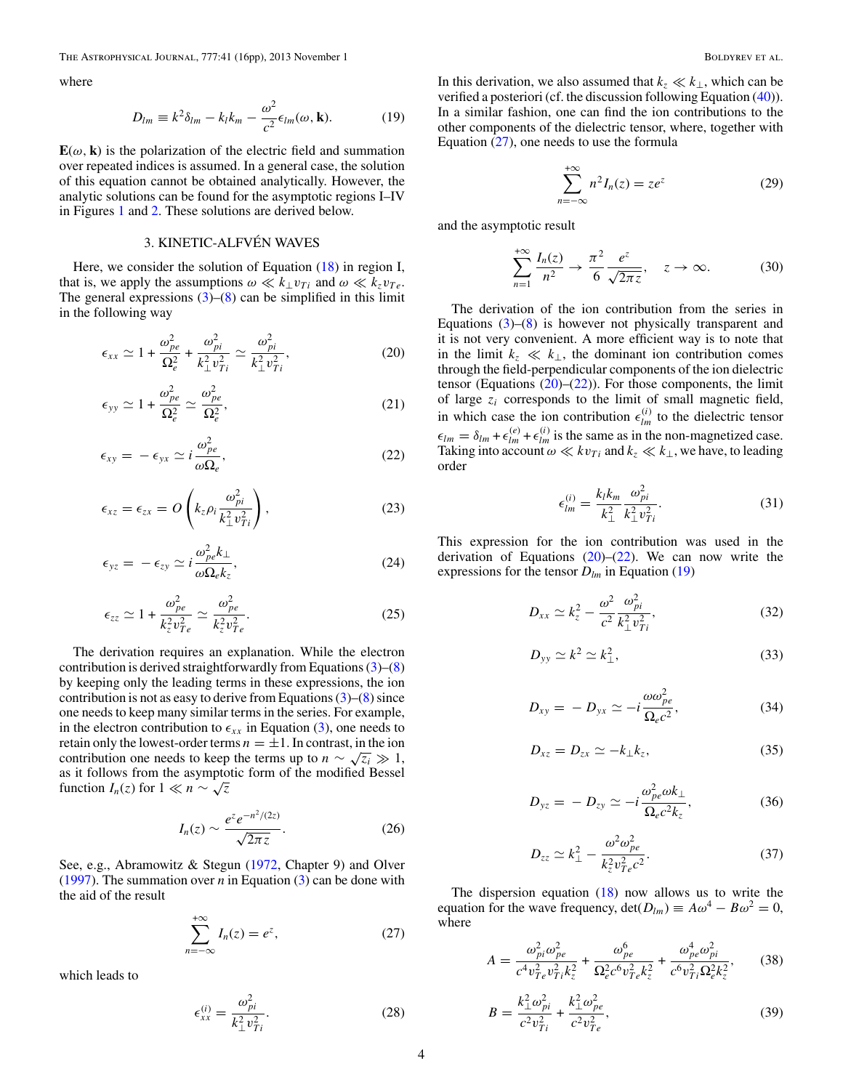<span id="page-3-0"></span>The Astrophysical Journal, 777:41 (16pp), 2013 November 1 Boldyrev et al.

where

$$
D_{lm} \equiv k^2 \delta_{lm} - k_l k_m - \frac{\omega^2}{c^2} \epsilon_{lm}(\omega, \mathbf{k}).
$$
 (19)

 $E(\omega, k)$  is the polarization of the electric field and summation over repeated indices is assumed. In a general case, the solution of this equation cannot be obtained analytically. However, the analytic solutions can be found for the asymptotic regions I–IV in Figures [1](#page-2-0) and [2.](#page-2-0) These solutions are derived below.

# 3. KINETIC-ALFVÉN WAVES

Here, we consider the solution of Equation [\(18\)](#page-2-0) in region I, that is, we apply the assumptions  $\omega \ll k_1 v_{Ti}$  and  $\omega \ll k_z v_{Te}$ . The general expressions  $(3)$ – $(8)$  can be simplified in this limit in the following way

$$
\epsilon_{xx} \simeq 1 + \frac{\omega_{pe}^2}{\Omega_e^2} + \frac{\omega_{pi}^2}{k_{\perp}^2 v_{Ti}^2} \simeq \frac{\omega_{pi}^2}{k_{\perp}^2 v_{Ti}^2},
$$
 (20)

$$
\epsilon_{yy} \simeq 1 + \frac{\omega_{pe}^2}{\Omega_e^2} \simeq \frac{\omega_{pe}^2}{\Omega_e^2},\tag{21}
$$

$$
\epsilon_{xy} = -\epsilon_{yx} \simeq i \frac{\omega_{pe}^2}{\omega \Omega_e},\tag{22}
$$

$$
\epsilon_{xz} = \epsilon_{zx} = O\left(k_z \rho_i \frac{\omega_{pi}^2}{k_{\perp}^2 v_{Ti}^2}\right),\tag{23}
$$

$$
\epsilon_{yz} = -\epsilon_{zy} \simeq i \frac{\omega_{pe}^2 k_{\perp}}{\omega \Omega_e k_z},\tag{24}
$$

$$
\epsilon_{zz} \simeq 1 + \frac{\omega_{pe}^2}{k_z^2 v_{Te}^2} \simeq \frac{\omega_{pe}^2}{k_z^2 v_{Te}^2}.
$$
 (25)

The derivation requires an explanation. While the electron contribution is derived straightforwardly from Equations [\(3\)](#page-1-0)–[\(8\)](#page-1-0) by keeping only the leading terms in these expressions, the ion contribution is not as easy to derive from Equations  $(3)$ – $(8)$  since one needs to keep many similar terms in the series. For example, in the electron contribution to  $\epsilon_{xx}$  in Equation [\(3\)](#page-1-0), one needs to retain only the lowest-order terms  $n = \pm 1$ . In contrast, in the ion contribution one needs to keep the terms up to  $n \sim \sqrt{z_i} \gg 1$ , as it follows from the asymptotic form of the modified Bessel function  $I_n(z)$  for  $1 \ll n \sim \sqrt{z}$ 

$$
I_n(z) \sim \frac{e^z e^{-n^2/(2z)}}{\sqrt{2\pi z}}.
$$
 (26)

See, e.g., Abramowitz & Stegun [\(1972,](#page-14-0) Chapter 9) and Olver [\(1997\)](#page-15-0). The summation over  $n$  in Equation [\(3\)](#page-1-0) can be done with the aid of the result

$$
\sum_{n=-\infty}^{+\infty} I_n(z) = e^z,
$$
 (27)

which leads to

$$
\epsilon_{xx}^{(i)} = \frac{\omega_{pi}^2}{k_{\perp}^2 v_{Ti}^2}.
$$
\n(28)

In this derivation, we also assumed that  $k_z \ll k_{\perp}$ , which can be verified a posteriori (cf. the discussion following Equation [\(40\)](#page-4-0)). In a similar fashion, one can find the ion contributions to the other components of the dielectric tensor, where, together with Equation  $(27)$ , one needs to use the formula

$$
\sum_{n=-\infty}^{+\infty} n^2 I_n(z) = z e^z \tag{29}
$$

and the asymptotic result

$$
\sum_{n=1}^{+\infty} \frac{I_n(z)}{n^2} \to \frac{\pi^2}{6} \frac{e^z}{\sqrt{2\pi z}}, \quad z \to \infty.
$$
 (30)

The derivation of the ion contribution from the series in Equations  $(3)$ – $(8)$  is however not physically transparent and it is not very convenient. A more efficient way is to note that in the limit  $k_z \ll k_{\perp}$ , the dominant ion contribution comes through the field-perpendicular components of the ion dielectric tensor (Equations  $(20)$ – $(22)$ ). For those components, the limit of large *zi* corresponds to the limit of small magnetic field, in which case the ion contribution  $\epsilon_{lm}^{(i)}$  to the dielectric tensor  $\epsilon_{lm} = \delta_{lm} + \epsilon_{lm}^{(e)} + \epsilon_{lm}^{(i)}$  is the same as in the non-magnetized case. Taking into account  $\omega \ll k v_{Ti}$  and  $k_z \ll k_{\perp}$ , we have, to leading order

$$
\epsilon_{lm}^{(i)} = \frac{k_l k_m}{k_\perp^2} \frac{\omega_{pi}^2}{k_\perp^2 v_{Ti}^2}.
$$
 (31)

This expression for the ion contribution was used in the derivation of Equations  $(20)$ – $(22)$ . We can now write the expressions for the tensor  $D_{lm}$  in Equation (19)

$$
D_{xx} \simeq k_z^2 - \frac{\omega^2}{c^2} \frac{\omega_{pi}^2}{k_{\perp}^2 v_{Ti}^2},
$$
 (32)

$$
D_{yy} \simeq k^2 \simeq k_\perp^2,\tag{33}
$$

$$
D_{xy} = -D_{yx} \simeq -i \frac{\omega \omega_{pe}^2}{\Omega_e c^2}, \qquad (34)
$$

$$
D_{xz} = D_{zx} \simeq -k_{\perp} k_z, \tag{35}
$$

$$
D_{yz} = -D_{zy} \simeq -i \frac{\omega_{pe}^2 \omega k_{\perp}}{\Omega_e c^2 k_z},\tag{36}
$$

$$
D_{zz} \simeq k_{\perp}^2 - \frac{\omega^2 \omega_{pe}^2}{k_z^2 v_{Te}^2 c^2}.
$$
 (37)

The dispersion equation  $(18)$  now allows us to write the equation for the wave frequency,  $\det(D_{lm}) \equiv A\omega^4 - B\omega^2 = 0$ , where

$$
A = \frac{\omega_{pi}^{2} \omega_{pe}^{2}}{c^{4} v_{Te}^{2} v_{Ti}^{2} k_{z}^{2}} + \frac{\omega_{pe}^{6}}{\Omega_{e}^{2} c^{6} v_{Te}^{2} k_{z}^{2}} + \frac{\omega_{pe}^{4} \omega_{pi}^{2}}{c^{6} v_{Ti}^{2} \Omega_{e}^{2} k_{z}^{2}},
$$
(38)

$$
B = \frac{k_{\perp}^2 \omega_{pi}^2}{c^2 v_{Ti}^2} + \frac{k_{\perp}^2 \omega_{pe}^2}{c^2 v_{Te}^2},
$$
\n(39)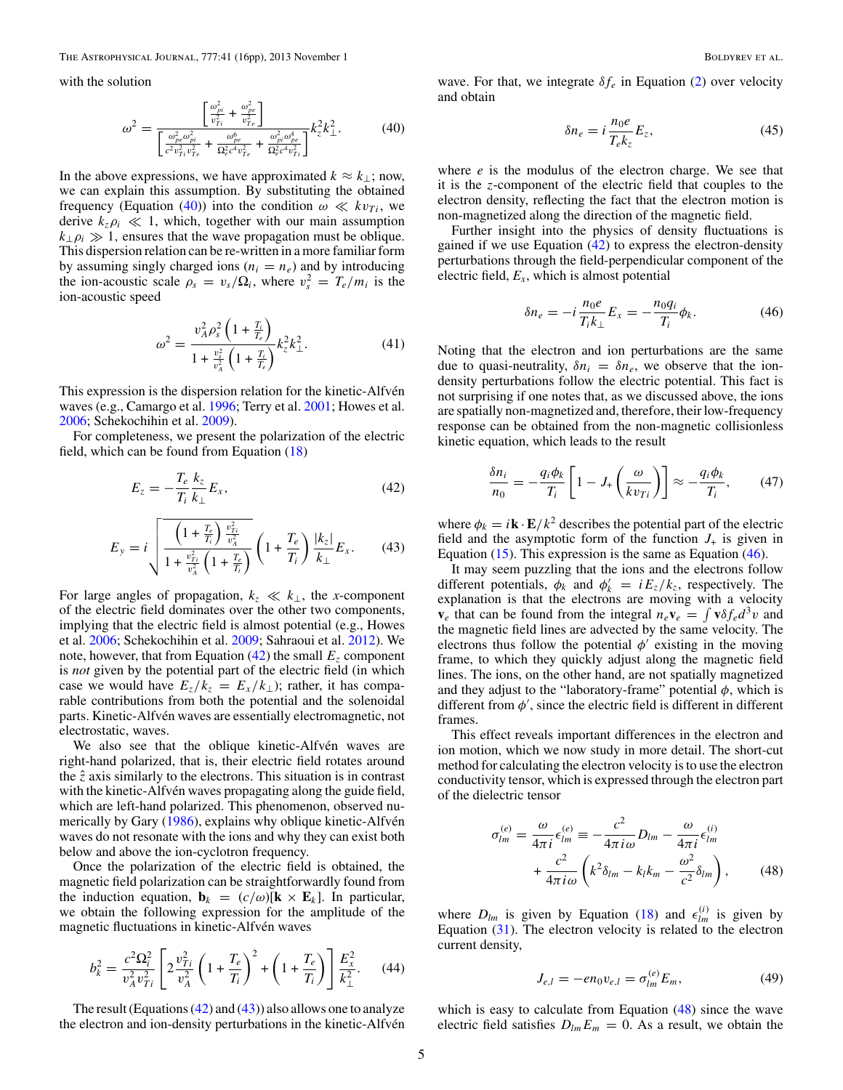<span id="page-4-0"></span>with the solution

$$
\omega^2 = \frac{\left[\frac{\omega_{pi}^2}{v_{Ti}^2} + \frac{\omega_{pe}^2}{v_{Te}^2}\right]}{\left[\frac{\omega_{pe}^2 \omega_{pi}^2}{c^2 v_{Ti}^2 v_{Te}^2} + \frac{\omega_{pe}^6}{\Omega_e^2 c^4 v_{Te}^2} + \frac{\omega_{pi}^2 \omega_{pe}^4}{\Omega_e^2 c^4 v_{Ti}^2}\right]} k_z^2 k_\perp^2.
$$
 (40)

In the above expressions, we have approximated  $k ≈ k_{\perp}$ ; now, we can explain this assumption. By substituting the obtained frequency (Equation (40)) into the condition  $\omega \ll k v_{Ti}$ , we derive  $k_z \rho_i \ll 1$ , which, together with our main assumption  $k_{\perp}$  $\rho_i \gg 1$ , ensures that the wave propagation must be oblique. This dispersion relation can be re-written in a more familiar form by assuming singly charged ions  $(n_i = n_e)$  and by introducing the ion-acoustic scale  $\rho_s = v_s/\Omega_i$ , where  $v_s^2 = T_e/m_i$  is the ion-acoustic speed

$$
\omega^2 = \frac{v_A^2 \rho_s^2 \left(1 + \frac{T_i}{T_e}\right)}{1 + \frac{v_s^2}{v_A^2} \left(1 + \frac{T_i}{T_e}\right)} k_z^2 k_\perp^2.
$$
\n(41)

This expression is the dispersion relation for the kinetic-Alfvén waves (e.g., Camargo et al. [1996;](#page-15-0) Terry et al. [2001;](#page-15-0) Howes et al. [2006;](#page-15-0) Schekochihin et al. [2009\)](#page-15-0).

For completeness, we present the polarization of the electric field, which can be found from Equation [\(18\)](#page-2-0)

$$
E_z = -\frac{T_e}{T_i} \frac{k_z}{k_\perp} E_x,\tag{42}
$$

$$
E_{y} = i \sqrt{\frac{\left(1 + \frac{T_e}{T_i}\right) \frac{v_{Ti}^2}{v_A^2}}{1 + \frac{v_{Ti}^2}{v_A^2} \left(1 + \frac{T_e}{T_i}\right)}} \left(1 + \frac{T_e}{T_i}\right) \frac{|k_z|}{k_{\perp}} E_x.
$$
 (43)

For large angles of propagation,  $k_z \ll k_{\perp}$ , the *x*-component of the electric field dominates over the other two components, implying that the electric field is almost potential (e.g., Howes et al. [2006;](#page-15-0) Schekochihin et al. [2009;](#page-15-0) Sahraoui et al. [2012\)](#page-15-0). We note, however, that from Equation  $(42)$  the small  $E<sub>z</sub>$  component is *not* given by the potential part of the electric field (in which case we would have  $E_z/k_z = E_x/k_{\perp}$ ); rather, it has comparable contributions from both the potential and the solenoidal parts. Kinetic-Alfvén waves are essentially electromagnetic, not electrostatic, waves.

We also see that the oblique kinetic-Alfvén waves are right-hand polarized, that is, their electric field rotates around the  $\hat{z}$  axis similarly to the electrons. This situation is in contrast with the kinetic-Alfvén waves propagating along the guide field, which are left-hand polarized. This phenomenon, observed nu-merically by Gary [\(1986\)](#page-15-0), explains why oblique kinetic-Alfvén waves do not resonate with the ions and why they can exist both below and above the ion-cyclotron frequency.

Once the polarization of the electric field is obtained, the magnetic field polarization can be straightforwardly found from the induction equation,  $\mathbf{b}_k = (c/\omega)[\mathbf{k} \times \mathbf{E}_k]$ . In particular, we obtain the following expression for the amplitude of the magnetic fluctuations in kinetic-Alfvén waves

$$
b_k^2 = \frac{c^2 \Omega_i^2}{v_A^2 v_{Ti}^2} \left[ 2 \frac{v_{Ti}^2}{v_A^2} \left( 1 + \frac{T_e}{T_i} \right)^2 + \left( 1 + \frac{T_e}{T_i} \right) \right] \frac{E_x^2}{k_\perp^2}.
$$
 (44)

The result (Equations  $(42)$  and  $(43)$ ) also allows one to analyze the electron and ion-density perturbations in the kinetic-Alfvén wave. For that, we integrate  $\delta f_e$  in Equation [\(2\)](#page-1-0) over velocity and obtain

$$
\delta n_e = i \frac{n_0 e}{T_e k_z} E_z,\tag{45}
$$

where *e* is the modulus of the electron charge. We see that it is the *z*-component of the electric field that couples to the electron density, reflecting the fact that the electron motion is non-magnetized along the direction of the magnetic field.

Further insight into the physics of density fluctuations is gained if we use Equation  $(42)$  to express the electron-density perturbations through the field-perpendicular component of the electric field, *Ex*, which is almost potential

$$
\delta n_e = -i \frac{n_0 e}{T_i k_{\perp}} E_x = -\frac{n_0 q_i}{T_i} \phi_k.
$$
 (46)

Noting that the electron and ion perturbations are the same due to quasi-neutrality,  $\delta n_i = \delta n_e$ , we observe that the iondensity perturbations follow the electric potential. This fact is not surprising if one notes that, as we discussed above, the ions are spatially non-magnetized and, therefore, their low-frequency response can be obtained from the non-magnetic collisionless kinetic equation, which leads to the result

$$
\frac{\delta n_i}{n_0} = -\frac{q_i \phi_k}{T_i} \left[ 1 - J_+ \left( \frac{\omega}{kv_{Ti}} \right) \right] \approx -\frac{q_i \phi_k}{T_i},\qquad(47)
$$

where  $\phi_k = i\mathbf{k} \cdot \mathbf{E}/k^2$  describes the potential part of the electric field and the asymptotic form of the function  $J_{+}$  is given in Equation  $(15)$ . This expression is the same as Equation  $(46)$ .

It may seem puzzling that the ions and the electrons follow different potentials,  $\phi_k$  and  $\phi'_k = iE_z/k_z$ , respectively. The explanation is that the electrons are moving with a velocity **v**<sub>*e*</sub> that can be found from the integral  $n_e$ **v**<sub> $e$ </sub> =  $\int$ **v** $\delta f_e d^3v$  and the magnetic field lines are advected by the same velocity. The electrons thus follow the potential  $\phi'$  existing in the moving frame, to which they quickly adjust along the magnetic field lines. The ions, on the other hand, are not spatially magnetized and they adjust to the "laboratory-frame" potential  $\phi$ , which is different from  $\phi'$ , since the electric field is different in different frames.

This effect reveals important differences in the electron and ion motion, which we now study in more detail. The short-cut method for calculating the electron velocity is to use the electron conductivity tensor, which is expressed through the electron part of the dielectric tensor

$$
\sigma_{lm}^{(e)} = \frac{\omega}{4\pi i} \epsilon_{lm}^{(e)} \equiv -\frac{c^2}{4\pi i \omega} D_{lm} - \frac{\omega}{4\pi i} \epsilon_{lm}^{(i)}
$$

$$
+ \frac{c^2}{4\pi i \omega} \left( k^2 \delta_{lm} - k_l k_m - \frac{\omega^2}{c^2} \delta_{lm} \right), \tag{48}
$$

where  $D_{lm}$  is given by Equation [\(18\)](#page-2-0) and  $\epsilon_{lm}^{(i)}$  is given by Equation  $(31)$ . The electron velocity is related to the electron current density,

$$
J_{e,l} = -en_0 v_{e,l} = \sigma_{lm}^{(e)} E_m,
$$
\n(49)

which is easy to calculate from Equation  $(48)$  since the wave electric field satisfies  $D_{lm}E_m = 0$ . As a result, we obtain the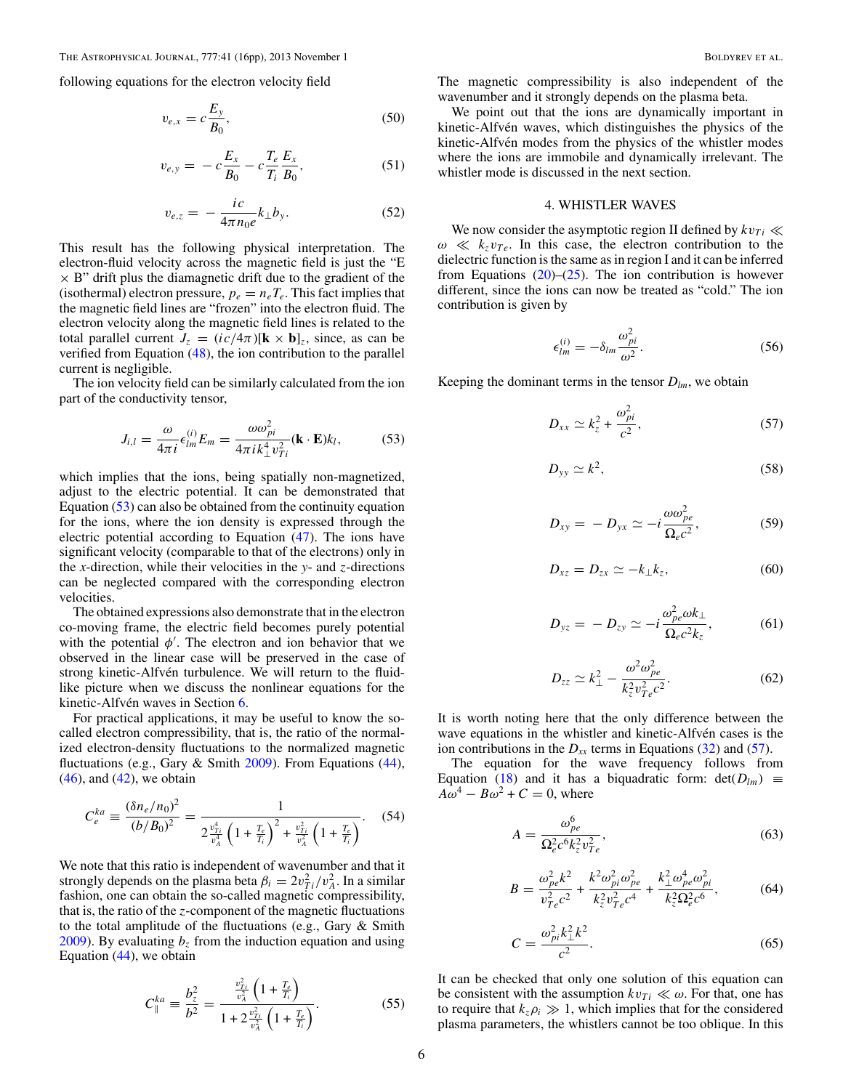<span id="page-5-0"></span>following equations for the electron velocity field

$$
v_{e,x} = c \frac{E_y}{B_0},\tag{50}
$$

$$
v_{e,y} = -c\frac{E_x}{B_0} - c\frac{T_e}{T_i}\frac{E_x}{B_0},
$$
\n(51)

$$
v_{e,z} = -\frac{ic}{4\pi n_0 e} k_{\perp} b_y.
$$
 (52)

This result has the following physical interpretation. The electron-fluid velocity across the magnetic field is just the "E  $\times$  B" drift plus the diamagnetic drift due to the gradient of the (isothermal) electron pressure,  $p_e = n_e T_e$ . This fact implies that the magnetic field lines are "frozen" into the electron fluid. The electron velocity along the magnetic field lines is related to the total parallel current  $J_z = (ic/4\pi)[\mathbf{k} \times \mathbf{b}]_z$ , since, as can be verified from Equation [\(48\)](#page-4-0), the ion contribution to the parallel current is negligible.

The ion velocity field can be similarly calculated from the ion part of the conductivity tensor,

$$
J_{i,l} = \frac{\omega}{4\pi i} \epsilon_{lm}^{(i)} E_m = \frac{\omega \omega_{pi}^2}{4\pi i k_{\perp}^4 v_{Ti}^2} (\mathbf{k} \cdot \mathbf{E}) k_l,
$$
 (53)

which implies that the ions, being spatially non-magnetized, adjust to the electric potential. It can be demonstrated that Equation (53) can also be obtained from the continuity equation for the ions, where the ion density is expressed through the electric potential according to Equation [\(47\)](#page-4-0). The ions have significant velocity (comparable to that of the electrons) only in the *x*-direction, while their velocities in the *y*- and *z*-directions can be neglected compared with the corresponding electron velocities.

The obtained expressions also demonstrate that in the electron co-moving frame, the electric field becomes purely potential with the potential  $\phi'$ . The electron and ion behavior that we observed in the linear case will be preserved in the case of strong kinetic-Alfvén turbulence. We will return to the fluidlike picture when we discuss the nonlinear equations for the kinetic-Alfvén waves in Section [6.](#page-7-0)

For practical applications, it may be useful to know the socalled electron compressibility, that is, the ratio of the normalized electron-density fluctuations to the normalized magnetic fluctuations (e.g., Gary & Smith [2009\)](#page-15-0). From Equations [\(44\)](#page-4-0),  $(46)$ , and  $(42)$ , we obtain

$$
C_e^{ka} \equiv \frac{(\delta n_e/n_0)^2}{(b/B_0)^2} = \frac{1}{2\frac{v_{Ti}^4}{v_A^4} \left(1 + \frac{T_e}{T_i}\right)^2 + \frac{v_{Ti}^2}{v_A^2} \left(1 + \frac{T_e}{T_i}\right)}. \tag{54}
$$

We note that this ratio is independent of wavenumber and that it strongly depends on the plasma beta  $\beta_i = 2v_{Ti}^2/v_A^2$ . In a similar fashion, one can obtain the so-called magnetic compressibility, that is, the ratio of the *z*-component of the magnetic fluctuations to the total amplitude of the fluctuations (e.g., Gary & Smith [2009\)](#page-15-0). By evaluating  $b_z$  from the induction equation and using Equation [\(44\)](#page-4-0), we obtain

$$
C_{\parallel}^{ka} \equiv \frac{b_z^2}{b^2} = \frac{\frac{v_{Tj}^2}{v_A^2} \left(1 + \frac{T_e}{T_i}\right)}{1 + 2\frac{v_{Tj}^2}{v_A^2} \left(1 + \frac{T_e}{T_i}\right)}.\tag{55}
$$

The magnetic compressibility is also independent of the wavenumber and it strongly depends on the plasma beta.

We point out that the ions are dynamically important in kinetic-Alfvén waves, which distinguishes the physics of the kinetic-Alfvén modes from the physics of the whistler modes where the ions are immobile and dynamically irrelevant. The whistler mode is discussed in the next section.

### 4. WHISTLER WAVES

We now consider the asymptotic region II defined by  $kv_{Ti} \ll$  $\omega \ll k_z v_{Te}$ . In this case, the electron contribution to the dielectric function is the same as in region I and it can be inferred from Equations  $(20)$ – $(25)$ . The ion contribution is however different, since the ions can now be treated as "cold." The ion contribution is given by

$$
\epsilon_{lm}^{(i)} = -\delta_{lm} \frac{\omega_{pi}^2}{\omega^2}.
$$
\n(56)

Keeping the dominant terms in the tensor  $D_{lm}$ , we obtain

$$
D_{xx} \simeq k_z^2 + \frac{\omega_{pi}^2}{c^2},\tag{57}
$$

$$
D_{yy} \simeq k^2, \tag{58}
$$

$$
D_{xy} = -D_{yx} \simeq -i \frac{\omega \omega_{pe}^2}{\Omega_e c^2}, \qquad (59)
$$

$$
D_{xz} = D_{zx} \simeq -k_{\perp} k_z, \tag{60}
$$

$$
D_{yz} = -D_{zy} \simeq -i \frac{\omega_{pe}^2 \omega k_{\perp}}{\Omega_e c^2 k_z},
$$
 (61)

$$
D_{zz} \simeq k_{\perp}^2 - \frac{\omega^2 \omega_{pe}^2}{k_z^2 v_{Te}^2 c^2}.
$$
 (62)

It is worth noting here that the only difference between the wave equations in the whistler and kinetic-Alfvén cases is the ion contributions in the  $D_{xx}$  terms in Equations [\(32\)](#page-3-0) and (57).

The equation for the wave frequency follows from Equation [\(18\)](#page-2-0) and it has a biquadratic form:  $det(D_{lm}) \equiv$  $A\omega^4 - B\omega^2 + C = 0$ , where

$$
A = \frac{\omega_{pe}^{6}}{\Omega_{e}^{2} c^{6} k_{z}^{2} v_{Te}^{2}},
$$
\n(63)

$$
B = \frac{\omega_{pe}^2 k^2}{v_{Te}^2 c^2} + \frac{k^2 \omega_{pi}^2 \omega_{pe}^2}{k_z^2 v_{Te}^2 c^4} + \frac{k_{\perp}^2 \omega_{pe}^4 \omega_{pi}^2}{k_z^2 \Omega_e^2 c^6},
$$
(64)

$$
C = \frac{\omega_{pi}^2 k_{\perp}^2 k^2}{c^2}.
$$
 (65)

It can be checked that only one solution of this equation can be consistent with the assumption  $kv_{Ti} \ll \omega$ . For that, one has to require that  $k_z \rho_i \gg 1$ , which implies that for the considered plasma parameters, the whistlers cannot be too oblique. In this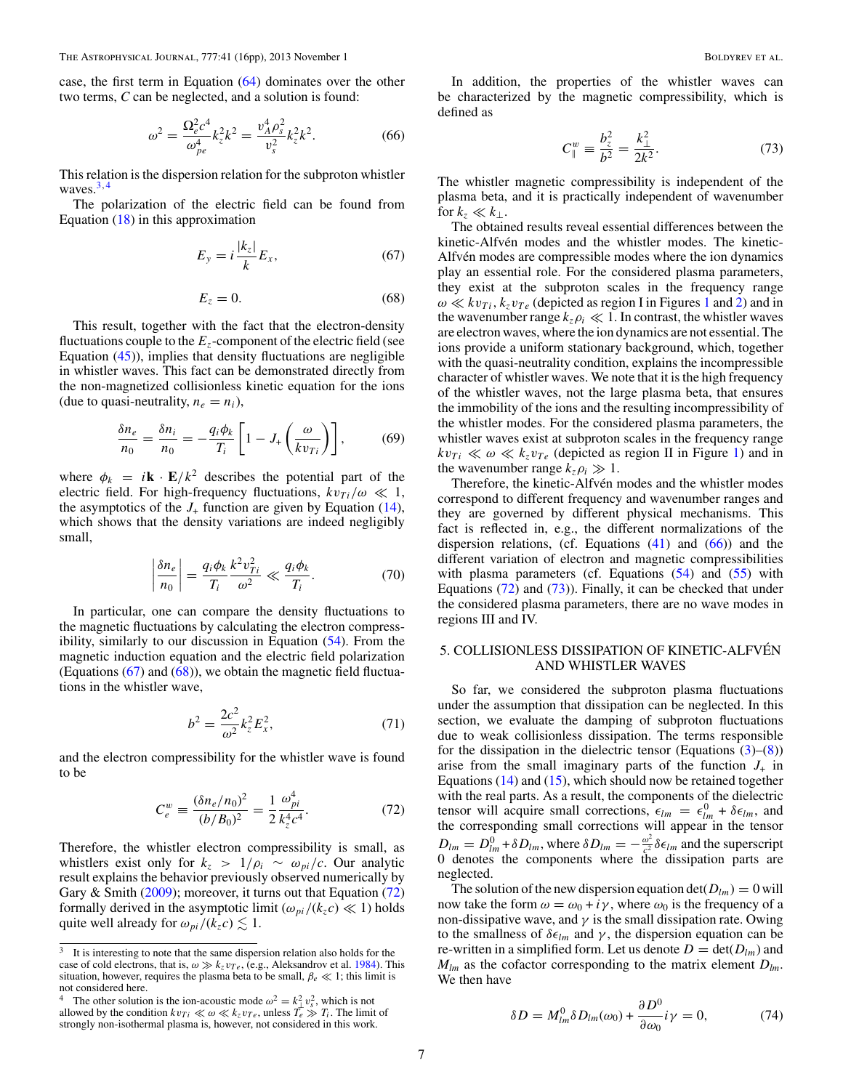<span id="page-6-0"></span>case, the first term in Equation [\(64\)](#page-5-0) dominates over the other two terms, *C* can be neglected, and a solution is found:

$$
\omega^2 = \frac{\Omega_e^2 c^4}{\omega_{pe}^4} k_z^2 k^2 = \frac{v_A^4 \rho_s^2}{v_s^2} k_z^2 k^2.
$$
 (66)

This relation is the dispersion relation for the subproton whistler waves.3*,*<sup>4</sup>

The polarization of the electric field can be found from Equation  $(18)$  in this approximation

$$
E_y = i\frac{|k_z|}{k}E_x,\t\t(67)
$$

$$
E_z = 0.\t\t(68)
$$

This result, together with the fact that the electron-density fluctuations couple to the  $E<sub>z</sub>$ -component of the electric field (see Equation  $(45)$ , implies that density fluctuations are negligible in whistler waves. This fact can be demonstrated directly from the non-magnetized collisionless kinetic equation for the ions (due to quasi-neutrality,  $n_e = n_i$ ),

$$
\frac{\delta n_e}{n_0} = \frac{\delta n_i}{n_0} = -\frac{q_i \phi_k}{T_i} \left[ 1 - J_+ \left( \frac{\omega}{k v_{Ti}} \right) \right],\tag{69}
$$

where  $\phi_k = i\mathbf{k} \cdot \mathbf{E}/k^2$  describes the potential part of the electric field. For high-frequency fluctuations,  $kv_{Ti}/\omega \ll 1$ , the asymptotics of the  $J_{+}$  function are given by Equation [\(14\)](#page-2-0), which shows that the density variations are indeed negligibly small,

$$
\left|\frac{\delta n_e}{n_0}\right| = \frac{q_i \phi_k}{T_i} \frac{k^2 v_{Ti}^2}{\omega^2} \ll \frac{q_i \phi_k}{T_i}.
$$
 (70)

In particular, one can compare the density fluctuations to the magnetic fluctuations by calculating the electron compressibility, similarly to our discussion in Equation [\(54\)](#page-5-0). From the magnetic induction equation and the electric field polarization (Equations  $(67)$  and  $(68)$ ), we obtain the magnetic field fluctuations in the whistler wave,

$$
b^2 = \frac{2c^2}{\omega^2} k_z^2 E_x^2, \tag{71}
$$

and the electron compressibility for the whistler wave is found to be

$$
C_e^w \equiv \frac{(\delta n_e/n_0)^2}{(b/B_0)^2} = \frac{1}{2} \frac{\omega_{pi}^4}{k_z^4 c^4}.
$$
 (72)

Therefore, the whistler electron compressibility is small, as whistlers exist only for  $k_z > 1/\rho_i \sim \omega_{pi}/c$ . Our analytic result explains the behavior previously observed numerically by Gary & Smith [\(2009\)](#page-15-0); moreover, it turns out that Equation (72) formally derived in the asymptotic limit  $(\omega_{pi}/(k_z c) \ll 1)$  holds quite well already for  $\omega_{pi}/(k_z c) \lesssim 1$ .

In addition, the properties of the whistler waves can be characterized by the magnetic compressibility, which is defined as

$$
C_{\parallel}^{w} \equiv \frac{b_{z}^{2}}{b^{2}} = \frac{k_{\perp}^{2}}{2k^{2}}.
$$
 (73)

The whistler magnetic compressibility is independent of the plasma beta, and it is practically independent of wavenumber for  $k_z \ll k_\perp$ .

The obtained results reveal essential differences between the kinetic-Alfvén modes and the whistler modes. The kinetic-Alfvén modes are compressible modes where the ion dynamics play an essential role. For the considered plasma parameters, they exist at the subproton scales in the frequency range  $\omega \ll k v_{Ti}$ ,  $k_z v_{Te}$  (depicted as region I in Figures [1](#page-2-0) and [2\)](#page-2-0) and in the wavenumber range  $k_z \rho_i \ll 1$ . In contrast, the whistler waves are electron waves, where the ion dynamics are not essential. The ions provide a uniform stationary background, which, together with the quasi-neutrality condition, explains the incompressible character of whistler waves. We note that it is the high frequency of the whistler waves, not the large plasma beta, that ensures the immobility of the ions and the resulting incompressibility of the whistler modes. For the considered plasma parameters, the whistler waves exist at subproton scales in the frequency range  $kv_{Ti} \ll \omega \ll k_z v_{Te}$  (depicted as region II in Figure [1\)](#page-2-0) and in the wavenumber range  $k_z \rho_i \gg 1$ .

Therefore, the kinetic-Alfvén modes and the whistler modes correspond to different frequency and wavenumber ranges and they are governed by different physical mechanisms. This fact is reflected in, e.g., the different normalizations of the dispersion relations, (cf. Equations  $(41)$  and  $(66)$ ) and the different variation of electron and magnetic compressibilities with plasma parameters (cf. Equations  $(54)$  and  $(55)$  with Equations  $(72)$  and  $(73)$ ). Finally, it can be checked that under the considered plasma parameters, there are no wave modes in regions III and IV.

## 5. COLLISIONLESS DISSIPATION OF KINETIC-ALFVEN´ AND WHISTLER WAVES

So far, we considered the subproton plasma fluctuations under the assumption that dissipation can be neglected. In this section, we evaluate the damping of subproton fluctuations due to weak collisionless dissipation. The terms responsible for the dissipation in the dielectric tensor (Equations  $(3)$ – $(8)$ ) arise from the small imaginary parts of the function  $J_{+}$  in Equations  $(14)$  and  $(15)$ , which should now be retained together with the real parts. As a result, the components of the dielectric tensor will acquire small corrections,  $\epsilon_{lm} = \epsilon_{lm}^0 + \delta \epsilon_{lm}$ , and the corresponding small corrections will appear in the tensor  $D_{lm} = D_{lm}^0 + \delta D_{lm}$ , where  $\delta D_{lm} = -\frac{\omega^2}{c^2} \delta \epsilon_{lm}$  and the superscript 0 denotes the components where the dissipation parts are neglected.

The solution of the new dispersion equation  $\det(D_{lm}) = 0$  will now take the form  $\omega = \omega_0 + i\gamma$ , where  $\omega_0$  is the frequency of a non-dissipative wave, and  $\gamma$  is the small dissipation rate. Owing to the smallness of  $\delta \epsilon_{lm}$  and  $\gamma$ , the dispersion equation can be re-written in a simplified form. Let us denote  $D = \det(D_{lm})$  and *Mlm* as the cofactor corresponding to the matrix element *Dlm*. We then have

$$
\delta D = M_{lm}^0 \delta D_{lm}(\omega_0) + \frac{\partial D^0}{\partial \omega_0} i\gamma = 0, \qquad (74)
$$

<sup>&</sup>lt;sup>3</sup> It is interesting to note that the same dispersion relation also holds for the case of cold electrons, that is,  $\omega \gg k_z v_{Te}$ , (e.g., Aleksandrov et al. [1984\)](#page-14-0). This situation, however, requires the plasma beta to be small,  $\beta_e \ll 1$ ; this limit is not considered here.

<sup>&</sup>lt;sup>4</sup> The other solution is the ion-acoustic mode  $\omega^2 = k_{\perp}^2 v_s^2$ , which is not allowed by the condition  $k_{\perp} \ll \omega \ll k_{\perp}$ . where  $T \gg T$ . The limit allowed by the condition  $kv_{Ti} \ll \omega \ll k_z v_{Te}$ , unless  $\overline{T_e} \gg T_i$ . The limit of strongly non-isothermal plasma is, however, not considered in this work.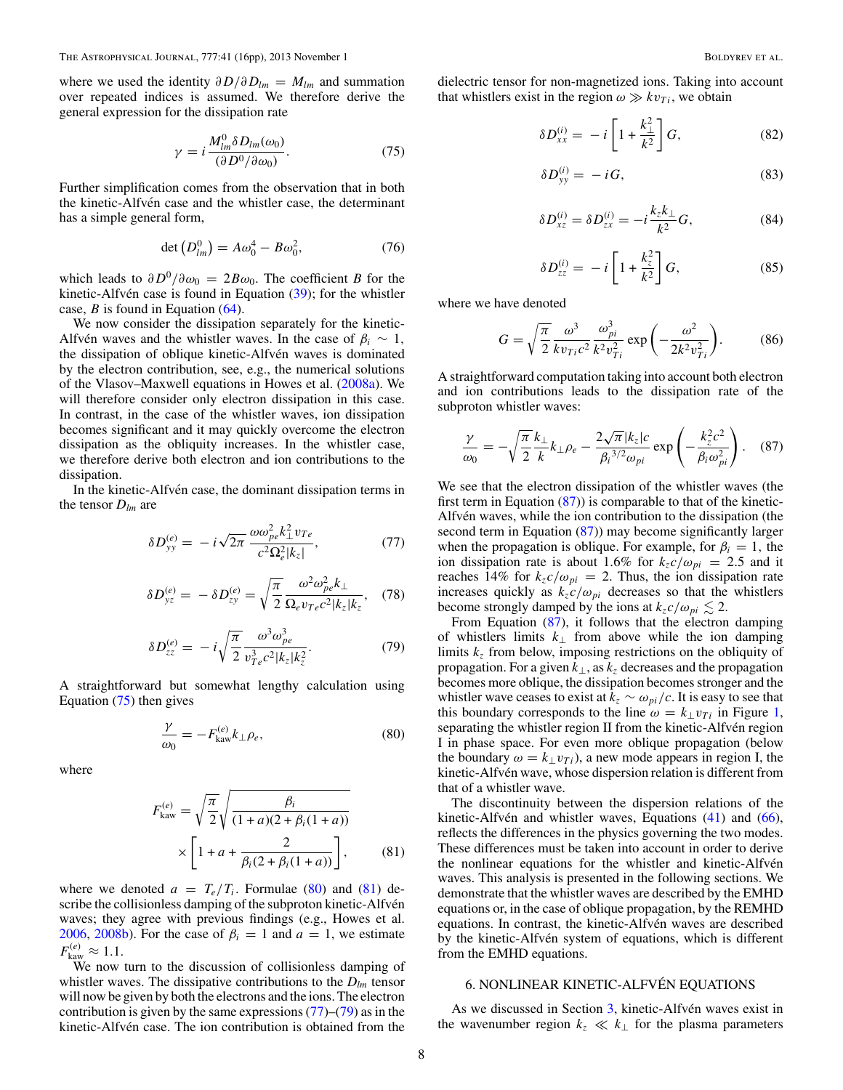<span id="page-7-0"></span>where we used the identity  $\partial D/\partial D_{lm} = M_{lm}$  and summation over repeated indices is assumed. We therefore derive the general expression for the dissipation rate

$$
\gamma = i \frac{M_{lm}^0 \delta D_{lm}(\omega_0)}{(\partial D^0 / \partial \omega_0)}.
$$
\n(75)

Further simplification comes from the observation that in both the kinetic-Alfvén case and the whistler case, the determinant has a simple general form,

$$
\det(D_{lm}^0) = A\omega_0^4 - B\omega_0^2, \tag{76}
$$

which leads to  $\partial D^0/\partial \omega_0 = 2B\omega_0$ . The coefficient *B* for the kinetic-Alfvén case is found in Equation  $(39)$  $(39)$ ; for the whistler case, *B* is found in Equation [\(64\)](#page-5-0).

We now consider the dissipation separately for the kinetic-Alfvén waves and the whistler waves. In the case of  $\beta_i \sim 1$ , the dissipation of oblique kinetic-Alfvén waves is dominated by the electron contribution, see, e.g., the numerical solutions of the Vlasov–Maxwell equations in Howes et al. [\(2008a\)](#page-15-0). We will therefore consider only electron dissipation in this case. In contrast, in the case of the whistler waves, ion dissipation becomes significant and it may quickly overcome the electron dissipation as the obliquity increases. In the whistler case, we therefore derive both electron and ion contributions to the dissipation.

In the kinetic-Alfvén case, the dominant dissipation terms in the tensor  $D_{lm}$  are

$$
\delta D_{yy}^{(e)} = -i\sqrt{2\pi} \frac{\omega \omega_{pe}^2 k_{\perp}^2 v_{Te}}{c^2 \Omega_e^2 |k_z|},\tag{77}
$$

$$
\delta D_{yz}^{(e)} = -\delta D_{zy}^{(e)} = \sqrt{\frac{\pi}{2}} \frac{\omega^2 \omega_{pe}^2 k_{\perp}}{\Omega_e v_{Te} c^2 |k_z| k_z},
$$
 (78)

$$
\delta D_{zz}^{(e)} = -i\sqrt{\frac{\pi}{2}} \frac{\omega^3 \omega_{pe}^3}{v_{Te}^3 c^2 |k_z| k_z^2}.
$$
 (79)

A straightforward but somewhat lengthy calculation using Equation (75) then gives

$$
\frac{\gamma}{\omega_0} = -F_{\text{kaw}}^{(e)} k_\perp \rho_e,\tag{80}
$$

where

$$
F_{\text{kaw}}^{(e)} = \sqrt{\frac{\pi}{2}} \sqrt{\frac{\beta_i}{(1+a)(2+\beta_i(1+a))}}
$$

$$
\times \left[1+a+\frac{2}{\beta_i(2+\beta_i(1+a))}\right],
$$
(81)

where we denoted  $a = T_e/T_i$ . Formulae (80) and (81) describe the collisionless damping of the subproton kinetic-Alfvén waves; they agree with previous findings (e.g., Howes et al. [2006,](#page-15-0) [2008b\)](#page-15-0). For the case of  $\beta_i = 1$  and  $a = 1$ , we estimate  $F_{\text{kaw}}^{(e)} \approx 1.1.$ 

We now turn to the discussion of collisionless damping of whistler waves. The dissipative contributions to the *Dlm* tensor will now be given by both the electrons and the ions. The electron contribution is given by the same expressions  $(77)$ – $(79)$  as in the kinetic-Alfvén case. The ion contribution is obtained from the

dielectric tensor for non-magnetized ions. Taking into account that whistlers exist in the region  $\omega \gg k v_{Ti}$ , we obtain

$$
\delta D_{xx}^{(i)} = -i \left[ 1 + \frac{k_{\perp}^2}{k^2} \right] G,\tag{82}
$$

$$
\delta D_{yy}^{(i)} = -iG,\tag{83}
$$

$$
\delta D_{xz}^{(i)} = \delta D_{zx}^{(i)} = -i \frac{k_z k_{\perp}}{k^2} G,\tag{84}
$$

$$
\delta D_{zz}^{(i)} = -i \left[ 1 + \frac{k_z^2}{k^2} \right] G,\tag{85}
$$

where we have denoted

$$
G = \sqrt{\frac{\pi}{2}} \frac{\omega^3}{k v_{Ti} c^2} \frac{\omega_{pi}^3}{k^2 v_{Ti}^2} \exp\left(-\frac{\omega^2}{2k^2 v_{Ti}^2}\right).
$$
 (86)

A straightforward computation taking into account both electron and ion contributions leads to the dissipation rate of the subproton whistler waves:

$$
\frac{\gamma}{\omega_0} = -\sqrt{\frac{\pi}{2}} \frac{k_\perp}{k} k_\perp \rho_e - \frac{2\sqrt{\pi}|k_z|c}{\beta_i^{3/2} \omega_{pi}} \exp\left(-\frac{k_z^2 c^2}{\beta_i \omega_{pi}^2}\right). \quad (87)
$$

We see that the electron dissipation of the whistler waves (the first term in Equation  $(87)$ ) is comparable to that of the kinetic-Alfvén waves, while the ion contribution to the dissipation (the second term in Equation (87)) may become significantly larger when the propagation is oblique. For example, for  $\beta_i = 1$ , the ion dissipation rate is about 1.6% for  $k_z c/\omega_{pi} = 2.5$  and it reaches 14% for  $k_z c/\omega_{pi} = 2$ . Thus, the ion dissipation rate increases quickly as  $k_z c/\omega_{pi}$  decreases so that the whistlers become strongly damped by the ions at  $k_z c/\omega_{pi} \lesssim 2$ .

From Equation (87), it follows that the electron damping of whistlers limits *k*<sup>⊥</sup> from above while the ion damping limits *kz* from below, imposing restrictions on the obliquity of propagation. For a given *k*⊥, as *kz* decreases and the propagation becomes more oblique, the dissipation becomes stronger and the whistler wave ceases to exist at  $k_z \sim \omega_{pi}/c$ . It is easy to see that this boundary corresponds to the line  $\omega = k_{\perp} v_{Ti}$  in Figure [1,](#page-2-0) separating the whistler region II from the kinetic-Alfvén region I in phase space. For even more oblique propagation (below the boundary  $\omega = k_{\perp} v_{Ti}$ , a new mode appears in region I, the kinetic-Alfvén wave, whose dispersion relation is different from that of a whistler wave.

The discontinuity between the dispersion relations of the kinetic-Alfvén and whistler waves, Equations  $(41)$  $(41)$  and  $(66)$ , reflects the differences in the physics governing the two modes. These differences must be taken into account in order to derive the nonlinear equations for the whistler and kinetic-Alfven waves. This analysis is presented in the following sections. We demonstrate that the whistler waves are described by the EMHD equations or, in the case of oblique propagation, by the REMHD equations. In contrast, the kinetic-Alfvén waves are described by the kinetic-Alfvén system of equations, which is different from the EMHD equations.

## 6. NONLINEAR KINETIC-ALFVEN EQUATIONS ´

As we discussed in Section [3,](#page-3-0) kinetic-Alfvén waves exist in the wavenumber region  $k_z \ll k_\perp$  for the plasma parameters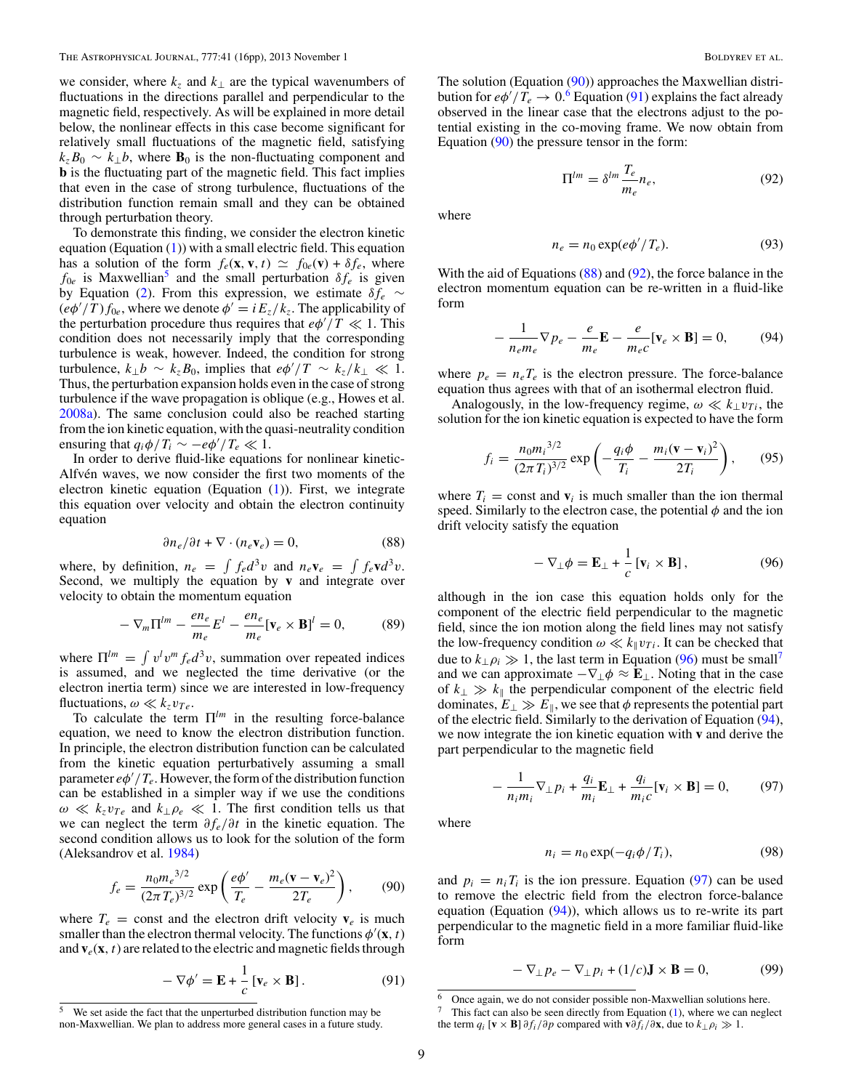<span id="page-8-0"></span>we consider, where  $k_z$  and  $k_\perp$  are the typical wavenumbers of fluctuations in the directions parallel and perpendicular to the magnetic field, respectively. As will be explained in more detail below, the nonlinear effects in this case become significant for relatively small fluctuations of the magnetic field, satisfying  $k_z B_0 \sim k_{\perp} b$ , where  $\mathbf{B}_0$  is the non-fluctuating component and **b** is the fluctuating part of the magnetic field. This fact implies that even in the case of strong turbulence, fluctuations of the distribution function remain small and they can be obtained through perturbation theory.

To demonstrate this finding, we consider the electron kinetic equation (Equation [\(1\)](#page-1-0)) with a small electric field. This equation has a solution of the form  $f_e(\mathbf{x}, \mathbf{v}, t) \simeq f_{0e}(\mathbf{v}) + \delta f_e$ , where  $f_{0e}$  is Maxwellian<sup>5</sup> and the small perturbation  $\delta f_e$  is given by Equation [\(2\)](#page-1-0). From this expression, we estimate  $\delta f_e \sim$  $(e\phi'/T) f_{0e}$ , where we denote  $\phi' = iE_z/k_z$ . The applicability of the perturbation procedure thus requires that  $e\phi'/T \ll 1$ . This condition does not necessarily imply that the corresponding turbulence is weak, however. Indeed, the condition for strong turbulence,  $k_{\perp}b \sim k_zB_0$ , implies that  $e\phi'/T \sim k_z/k_{\perp} \ll 1$ . Thus, the perturbation expansion holds even in the case of strong turbulence if the wave propagation is oblique (e.g., Howes et al. [2008a\)](#page-15-0). The same conclusion could also be reached starting from the ion kinetic equation, with the quasi-neutrality condition ensuring that  $q_i \phi / T_i \sim -e \phi' / T_e \ll 1$ .

In order to derive fluid-like equations for nonlinear kinetic-Alfvén waves, we now consider the first two moments of the electron kinetic equation (Equation  $(1)$ ). First, we integrate this equation over velocity and obtain the electron continuity equation

$$
\partial n_e / \partial t + \nabla \cdot (n_e \mathbf{v}_e) = 0,\tag{88}
$$

where, by definition,  $n_e = \int f_e d^3v$  and  $n_e \mathbf{v}_e = \int f_e \mathbf{v} d^3v$ . Second, we multiply the equation by **v** and integrate over velocity to obtain the momentum equation

$$
-\nabla_m \Pi^{lm} - \frac{en_e}{m_e} E^l - \frac{en_e}{m_e} [\mathbf{v}_e \times \mathbf{B}]^l = 0, \tag{89}
$$

where  $\Pi^{lm} = \int v^l v^m f_e d^3 v$ , summation over repeated indices is assumed, and we neglected the time derivative (or the electron inertia term) since we are interested in low-frequency fluctuations,  $\omega \ll k_z v_{Te}$ .

To calculate the term  $\Pi^{lm}$  in the resulting force-balance equation, we need to know the electron distribution function. In principle, the electron distribution function can be calculated from the kinetic equation perturbatively assuming a small parameter  $e\phi'/T_e$ . However, the form of the distribution function can be established in a simpler way if we use the conditions  $\omega \ll k_z v_{Te}$  and  $k_\perp \rho_e \ll 1$ . The first condition tells us that we can neglect the term *∂fe/∂t* in the kinetic equation. The second condition allows us to look for the solution of the form (Aleksandrov et al. [1984\)](#page-14-0)

$$
f_e = \frac{n_0 m_e^{3/2}}{(2\pi T_e)^{3/2}} \exp\left(\frac{e\phi'}{T_e} - \frac{m_e (\mathbf{v} - \mathbf{v}_e)^2}{2T_e}\right),\tag{90}
$$

where  $T_e$  = const and the electron drift velocity  $\mathbf{v}_e$  is much smaller than the electron thermal velocity. The functions  $\phi'(\mathbf{x}, t)$ and  $\mathbf{v}_e(\mathbf{x}, t)$  are related to the electric and magnetic fields through

$$
-\nabla \phi' = \mathbf{E} + \frac{1}{c} \left[ \mathbf{v}_e \times \mathbf{B} \right]. \tag{91}
$$

The solution (Equation (90)) approaches the Maxwellian distribution for  $e\phi'/T_e \to 0.6$  Equation (91) explains the fact already observed in the linear case that the electrons adjust to the potential existing in the co-moving frame. We now obtain from Equation (90) the pressure tensor in the form:

$$
\Pi^{lm} = \delta^{lm} \frac{T_e}{m_e} n_e,
$$
\n(92)

where

$$
n_e = n_0 \exp(e\phi'/T_e). \tag{93}
$$

With the aid of Equations (88) and (92), the force balance in the electron momentum equation can be re-written in a fluid-like form

$$
-\frac{1}{n_e m_e} \nabla p_e - \frac{e}{m_e} \mathbf{E} - \frac{e}{m_e c} [\mathbf{v}_e \times \mathbf{B}] = 0, \quad (94)
$$

where  $p_e = n_e T_e$  is the electron pressure. The force-balance equation thus agrees with that of an isothermal electron fluid.

Analogously, in the low-frequency regime,  $\omega \ll k_{\perp}v_{Ti}$ , the solution for the ion kinetic equation is expected to have the form

$$
f_i = \frac{n_0 m_i^{3/2}}{(2\pi T_i)^{3/2}} \exp\left(-\frac{q_i \phi}{T_i} - \frac{m_i (\mathbf{v} - \mathbf{v}_i)^2}{2T_i}\right),\qquad(95)
$$

where  $T_i$  = const and  $v_i$  is much smaller than the ion thermal speed. Similarly to the electron case, the potential *φ* and the ion drift velocity satisfy the equation

$$
-\nabla_{\perp}\phi = \mathbf{E}_{\perp} + \frac{1}{c}\left[\mathbf{v}_i \times \mathbf{B}\right],\tag{96}
$$

although in the ion case this equation holds only for the component of the electric field perpendicular to the magnetic field, since the ion motion along the field lines may not satisfy the low-frequency condition  $\omega \ll k_{\parallel} v_{Ti}$ . It can be checked that due to  $k_{\perp}$  $\rho_i \gg 1$ , the last term in Equation (96) must be small<sup>7</sup> and we can approximate  $-\nabla_{\perp}\phi \approx \mathbf{\hat{E}}_{\perp}$ . Noting that in the case of  $k_{\perp} \gg k_{\parallel}$  the perpendicular component of the electric field dominates,  $E_{\perp} \gg E_{\parallel}$ , we see that  $\phi$  represents the potential part of the electric field. Similarly to the derivation of Equation (94), we now integrate the ion kinetic equation with **v** and derive the part perpendicular to the magnetic field

$$
-\frac{1}{n_i m_i} \nabla_{\perp} p_i + \frac{q_i}{m_i} \mathbf{E}_{\perp} + \frac{q_i}{m_i c} [\mathbf{v}_i \times \mathbf{B}] = 0, \qquad (97)
$$

where

$$
n_i = n_0 \exp(-q_i \phi / T_i), \qquad (98)
$$

and  $p_i = n_i T_i$  is the ion pressure. Equation (97) can be used to remove the electric field from the electron force-balance equation (Equation  $(94)$ ), which allows us to re-write its part perpendicular to the magnetic field in a more familiar fluid-like form

$$
-\nabla_{\perp} p_e - \nabla_{\perp} p_i + (1/c)\mathbf{J} \times \mathbf{B} = 0, \tag{99}
$$

 $\overline{6}$  Once again, we do not consider possible non-Maxwellian solutions here.

This fact can also be seen directly from Equation  $(1)$ , where we can neglect the term  $q_i$  [**v** × **B**]  $\partial f_i / \partial p$  compared with **v** $\partial f_i / \partial x$ , due to  $k_{\perp} \rho_i \gg 1$ .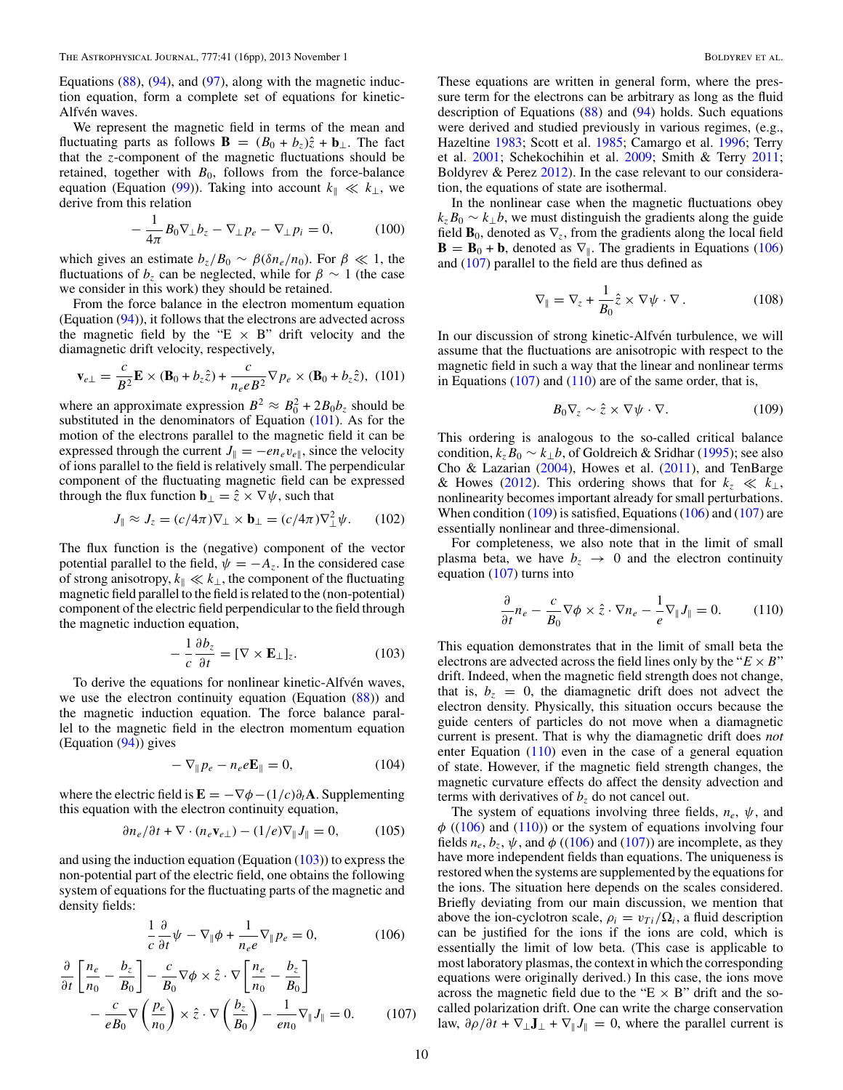<span id="page-9-0"></span>Equations  $(88)$ ,  $(94)$ , and  $(97)$ , along with the magnetic induction equation, form a complete set of equations for kinetic-Alfvén waves.

We represent the magnetic field in terms of the mean and fluctuating parts as follows **B** =  $(B_0 + b_z)\hat{z} + \mathbf{b}_\perp$ . The fact that the *z*-component of the magnetic fluctuations should be retained, together with  $B_0$ , follows from the force-balance equation (Equation [\(99\)](#page-8-0)). Taking into account  $k_{\parallel} \ll k_{\perp}$ , we derive from this relation

$$
-\frac{1}{4\pi}B_0\nabla_\perp b_z - \nabla_\perp p_e - \nabla_\perp p_i = 0, \qquad (100)
$$

which gives an estimate  $b_z/B_0 \sim \beta(\delta n_e/n_0)$ . For  $\beta \ll 1$ , the fluctuations of  $b_z$  can be neglected, while for  $\beta \sim 1$  (the case we consider in this work) they should be retained.

From the force balance in the electron momentum equation (Equation [\(94\)](#page-8-0)), it follows that the electrons are advected across the magnetic field by the "E  $\times$  B" drift velocity and the diamagnetic drift velocity, respectively,

$$
\mathbf{v}_{e\perp} = \frac{c}{B^2} \mathbf{E} \times (\mathbf{B}_0 + b_z \hat{z}) + \frac{c}{n_e e B^2} \nabla p_e \times (\mathbf{B}_0 + b_z \hat{z}), \tag{101}
$$

where an approximate expression  $B^2 \approx B_0^2 + 2B_0b_z$  should be substituted in the denominators of Equation (101). As for the motion of the electrons parallel to the magnetic field it can be expressed through the current  $J_{\parallel} = -en_{e}v_{e\parallel}$ , since the velocity of ions parallel to the field is relatively small. The perpendicular component of the fluctuating magnetic field can be expressed through the flux function  $\mathbf{b}_{\perp} = \hat{z} \times \nabla \psi$ , such that

$$
J_{\parallel} \approx J_z = (c/4\pi)\nabla_{\perp} \times \mathbf{b}_{\perp} = (c/4\pi)\nabla_{\perp}^2 \psi. \qquad (102)
$$

The flux function is the (negative) component of the vector potential parallel to the field,  $\psi = -A_z$ . In the considered case of strong anisotropy,  $k_{\parallel} \ll k_{\perp}$ , the component of the fluctuating magnetic field parallel to the field is related to the (non-potential) component of the electric field perpendicular to the field through the magnetic induction equation,

$$
-\frac{1}{c}\frac{\partial b_z}{\partial t} = [\nabla \times \mathbf{E}_{\perp}]_z.
$$
 (103)

To derive the equations for nonlinear kinetic-Alfvén waves, we use the electron continuity equation (Equation [\(88\)](#page-8-0)) and the magnetic induction equation. The force balance parallel to the magnetic field in the electron momentum equation (Equation [\(94\)](#page-8-0)) gives

$$
-\nabla_{\parallel} p_e - n_e e \mathbf{E}_{\parallel} = 0, \qquad (104)
$$

where the electric field is  $\mathbf{E} = -\nabla \phi - (1/c)\partial_t \mathbf{A}$ . Supplementing this equation with the electron continuity equation,

$$
\partial n_e / \partial t + \nabla \cdot (n_e \mathbf{v}_{e\perp}) - (1/e) \nabla_{\parallel} J_{\parallel} = 0, \quad (105)
$$

and using the induction equation (Equation  $(103)$ ) to express the non-potential part of the electric field, one obtains the following system of equations for the fluctuating parts of the magnetic and density fields:

$$
\frac{1}{c}\frac{\partial}{\partial t}\psi - \nabla_{\parallel}\phi + \frac{1}{n_e e}\nabla_{\parallel} p_e = 0, \qquad (106)
$$

$$
\frac{\partial}{\partial t} \left[ \frac{n_e}{n_0} - \frac{b_z}{B_0} \right] - \frac{c}{B_0} \nabla \phi \times \hat{z} \cdot \nabla \left[ \frac{n_e}{n_0} - \frac{b_z}{B_0} \right] \n- \frac{c}{eB_0} \nabla \left( \frac{p_e}{n_0} \right) \times \hat{z} \cdot \nabla \left( \frac{b_z}{B_0} \right) - \frac{1}{e n_0} \nabla_{\parallel} J_{\parallel} = 0. \tag{107}
$$

These equations are written in general form, where the pressure term for the electrons can be arbitrary as long as the fluid description of Equations [\(88\)](#page-8-0) and [\(94\)](#page-8-0) holds. Such equations were derived and studied previously in various regimes, (e.g., Hazeltine [1983;](#page-15-0) Scott et al. [1985;](#page-15-0) Camargo et al. [1996;](#page-15-0) Terry et al. [2001;](#page-15-0) Schekochihin et al. [2009;](#page-15-0) Smith & Terry [2011;](#page-15-0) Boldyrev & Perez [2012\)](#page-14-0). In the case relevant to our consideration, the equations of state are isothermal.

In the nonlinear case when the magnetic fluctuations obey  $k_z B_0 \sim k_{\perp} b$ , we must distinguish the gradients along the guide field  $\mathbf{B}_0$ , denoted as  $\nabla_z$ , from the gradients along the local field  $\mathbf{B} = \mathbf{B}_0 + \mathbf{b}$ , denoted as  $\nabla_{\parallel}$ . The gradients in Equations (106) and (107) parallel to the field are thus defined as

$$
\nabla_{\parallel} = \nabla_z + \frac{1}{B_0} \hat{z} \times \nabla \psi \cdot \nabla.
$$
 (108)

In our discussion of strong kinetic-Alfvén turbulence, we will assume that the fluctuations are anisotropic with respect to the magnetic field in such a way that the linear and nonlinear terms in Equations  $(107)$  and  $(110)$  are of the same order, that is,

$$
B_0 \nabla_z \sim \hat{z} \times \nabla \psi \cdot \nabla. \tag{109}
$$

This ordering is analogous to the so-called critical balance condition,  $k_zB_0 \sim k_\perp b$ , of Goldreich & Sridhar [\(1995\)](#page-15-0); see also Cho & Lazarian [\(2004\)](#page-15-0), Howes et al. [\(2011\)](#page-15-0), and TenBarge & Howes [\(2012\)](#page-15-0). This ordering shows that for  $k_z \ll k_{\perp}$ , nonlinearity becomes important already for small perturbations. When condition (109) is satisfied, Equations (106) and (107) are essentially nonlinear and three-dimensional.

For completeness, we also note that in the limit of small plasma beta, we have  $b_z \rightarrow 0$  and the electron continuity equation (107) turns into

$$
\frac{\partial}{\partial t}n_e - \frac{c}{B_0}\nabla\phi \times \hat{z} \cdot \nabla n_e - \frac{1}{e}\nabla_{\parallel}J_{\parallel} = 0. \tag{110}
$$

This equation demonstrates that in the limit of small beta the electrons are advected across the field lines only by the " $E \times B$ " drift. Indeed, when the magnetic field strength does not change, that is,  $b_z = 0$ , the diamagnetic drift does not advect the electron density. Physically, this situation occurs because the guide centers of particles do not move when a diamagnetic current is present. That is why the diamagnetic drift does *not* enter Equation  $(110)$  even in the case of a general equation of state. However, if the magnetic field strength changes, the magnetic curvature effects do affect the density advection and terms with derivatives of  $b<sub>z</sub>$  do not cancel out.

The system of equations involving three fields, *ne*, *ψ*, and  $\phi$  ((106) and (110)) or the system of equations involving four fields  $n_e$ ,  $b_z$ ,  $\psi$ , and  $\phi$  ((106) and (107)) are incomplete, as they have more independent fields than equations. The uniqueness is restored when the systems are supplemented by the equations for the ions. The situation here depends on the scales considered. Briefly deviating from our main discussion, we mention that above the ion-cyclotron scale,  $\rho_i = v_{Ti}/\Omega_i$ , a fluid description can be justified for the ions if the ions are cold, which is essentially the limit of low beta. (This case is applicable to most laboratory plasmas, the context in which the corresponding equations were originally derived.) In this case, the ions move across the magnetic field due to the " $E \times B$ " drift and the socalled polarization drift. One can write the charge conservation law,  $\partial \rho / \partial t + \nabla_{\perp} \mathbf{J}_{\perp} + \nabla_{\parallel} \mathbf{J}_{\parallel} = 0$ , where the parallel current is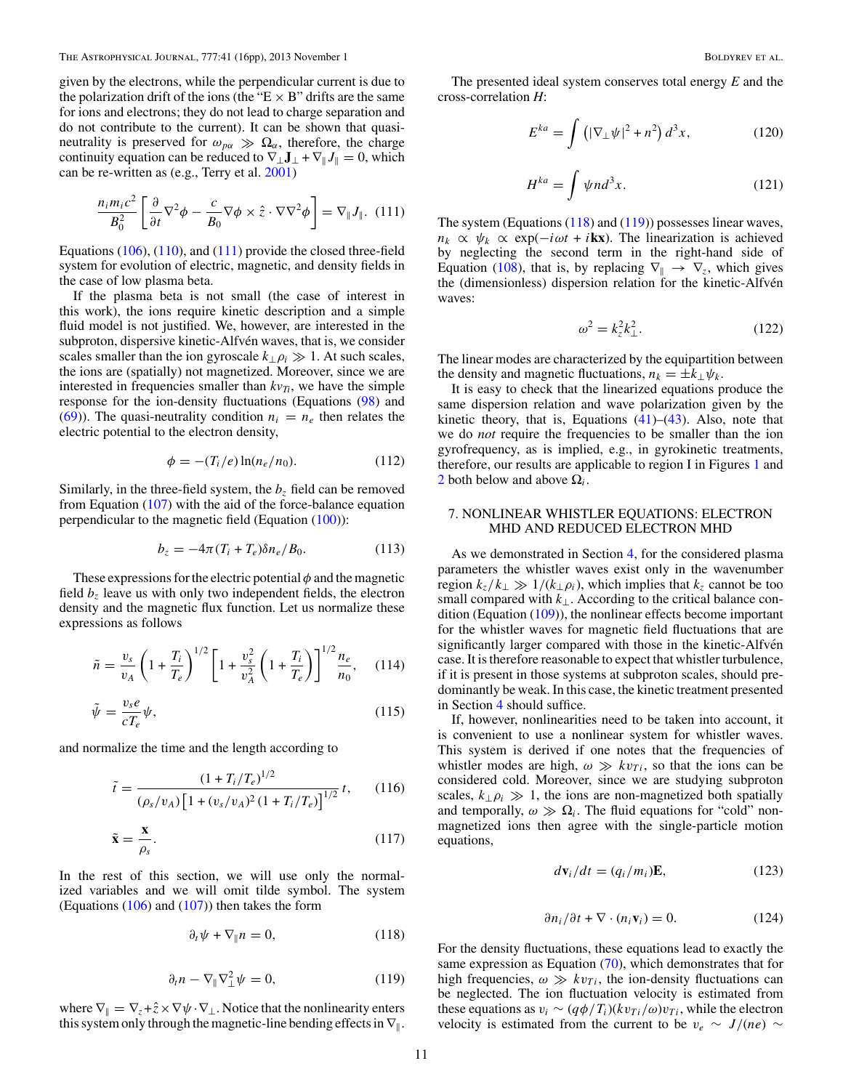<span id="page-10-0"></span>given by the electrons, while the perpendicular current is due to the polarization drift of the ions (the " $E \times B$ " drifts are the same for ions and electrons; they do not lead to charge separation and do not contribute to the current). It can be shown that quasineutrality is preserved for  $\omega_{p\alpha} \gg \Omega_{\alpha}$ , therefore, the charge continuity equation can be reduced to  $\nabla_{\perp} \mathbf{J}_{\perp} + \nabla_{\parallel} \mathbf{J}_{\parallel} = 0$ , which can be re-written as (e.g., Terry et al. [2001\)](#page-15-0)

$$
\frac{n_i m_i c^2}{B_0^2} \left[ \frac{\partial}{\partial t} \nabla^2 \phi - \frac{c}{B_0} \nabla \phi \times \hat{z} \cdot \nabla \nabla^2 \phi \right] = \nabla_{\parallel} J_{\parallel}. \tag{111}
$$

Equations  $(106)$ ,  $(110)$ , and  $(111)$  provide the closed three-field system for evolution of electric, magnetic, and density fields in the case of low plasma beta.

If the plasma beta is not small (the case of interest in this work), the ions require kinetic description and a simple fluid model is not justified. We, however, are interested in the subproton, dispersive kinetic-Alfvén waves, that is, we consider scales smaller than the ion gyroscale  $k_{\perp}$  $\rho_i \gg 1$ . At such scales, the ions are (spatially) not magnetized. Moreover, since we are interested in frequencies smaller than  $kv_{Ti}$ , we have the simple response for the ion-density fluctuations (Equations [\(98\)](#page-8-0) and [\(69\)](#page-6-0)). The quasi-neutrality condition  $n_i = n_e$  then relates the electric potential to the electron density,

$$
\phi = -(T_i/e)\ln(n_e/n_0). \tag{112}
$$

Similarly, in the three-field system, the  $b_7$  field can be removed from Equation  $(107)$  with the aid of the force-balance equation perpendicular to the magnetic field (Equation [\(100\)](#page-9-0)):

$$
b_z = -4\pi (T_i + T_e) \delta n_e / B_0. \tag{113}
$$

These expressions for the electric potential *φ* and the magnetic field  $b<sub>z</sub>$  leave us with only two independent fields, the electron density and the magnetic flux function. Let us normalize these expressions as follows

$$
\tilde{n} = \frac{v_s}{v_A} \left( 1 + \frac{T_i}{T_e} \right)^{1/2} \left[ 1 + \frac{v_s^2}{v_A^2} \left( 1 + \frac{T_i}{T_e} \right) \right]^{1/2} \frac{n_e}{n_0}, \quad (114)
$$

$$
\tilde{\psi} = \frac{v_s e}{cT_e} \psi,\tag{115}
$$

and normalize the time and the length according to

$$
\tilde{t} = \frac{(1 + T_i/T_e)^{1/2}}{(\rho_s/v_A)\left[1 + (v_s/v_A)^2(1 + T_i/T_e)\right]^{1/2}}t,\qquad(116)
$$

$$
\tilde{\mathbf{x}} = \frac{\mathbf{x}}{\rho_s}.\tag{117}
$$

In the rest of this section, we will use only the normalized variables and we will omit tilde symbol. The system (Equations  $(106)$  and  $(107)$ ) then takes the form

$$
\partial_t \psi + \nabla_{\parallel} n = 0, \qquad (118)
$$

$$
\partial_t n - \nabla_{\parallel} \nabla_{\perp}^2 \psi = 0, \qquad (119)
$$

where  $\nabla_{\parallel} = \nabla_z + \hat{z} \times \nabla \psi \cdot \nabla_{\perp}$ . Notice that the nonlinearity enters this system only through the magnetic-line bending effects in  $\nabla$ <sub>1</sub>.

The presented ideal system conserves total energy *E* and the cross-correlation *H*:

$$
E^{ka} = \int \left( |\nabla_{\perp} \psi|^2 + n^2 \right) d^3 x,\tag{120}
$$

$$
H^{ka} = \int \psi n d^3 x. \tag{121}
$$

The system (Equations (118) and (119)) possesses linear waves,  $n_k \propto \psi_k \propto \exp(-i\omega t + i\mathbf{k}x)$ . The linearization is achieved by neglecting the second term in the right-hand side of Equation [\(108\)](#page-9-0), that is, by replacing  $\nabla_{\parallel} \rightarrow \nabla_{z}$ , which gives the (dimensionless) dispersion relation for the kinetic-Alfvén waves:

$$
\omega^2 = k_z^2 k_\perp^2. \tag{122}
$$

The linear modes are characterized by the equipartition between the density and magnetic fluctuations,  $n_k = \pm k_\perp \psi_k$ .

It is easy to check that the linearized equations produce the same dispersion relation and wave polarization given by the kinetic theory, that is, Equations  $(41)$ – $(43)$ . Also, note that we do *not* require the frequencies to be smaller than the ion gyrofrequency, as is implied, e.g., in gyrokinetic treatments, therefore, our results are applicable to region I in Figures [1](#page-2-0) and [2](#page-2-0) both below and above  $\Omega_i$ .

## 7. NONLINEAR WHISTLER EQUATIONS: ELECTRON MHD AND REDUCED ELECTRON MHD

As we demonstrated in Section [4,](#page-5-0) for the considered plasma parameters the whistler waves exist only in the wavenumber region  $k_z/k_1 \gg 1/(k_{\perp} \rho_i)$ , which implies that  $k_z$  cannot be too small compared with  $k_{\perp}$ . According to the critical balance condition (Equation [\(109\)](#page-9-0)), the nonlinear effects become important for the whistler waves for magnetic field fluctuations that are significantly larger compared with those in the kinetic-Alfven case. It is therefore reasonable to expect that whistler turbulence, if it is present in those systems at subproton scales, should predominantly be weak. In this case, the kinetic treatment presented in Section [4](#page-5-0) should suffice.

If, however, nonlinearities need to be taken into account, it is convenient to use a nonlinear system for whistler waves. This system is derived if one notes that the frequencies of whistler modes are high,  $\omega \gg k v_{Ti}$ , so that the ions can be considered cold. Moreover, since we are studying subproton scales,  $k_{\perp}$  $\rho_i \gg 1$ , the ions are non-magnetized both spatially and temporally,  $\omega \gg \Omega_i$ . The fluid equations for "cold" nonmagnetized ions then agree with the single-particle motion equations,

$$
d\mathbf{v}_i/dt = (q_i/m_i)\mathbf{E},\qquad(123)
$$

$$
\partial n_i / \partial t + \nabla \cdot (n_i \mathbf{v}_i) = 0. \tag{124}
$$

For the density fluctuations, these equations lead to exactly the same expression as Equation  $(70)$ , which demonstrates that for high frequencies,  $\omega \gg k v_{Ti}$ , the ion-density fluctuations can be neglected. The ion fluctuation velocity is estimated from these equations as  $v_i \sim (q\phi/T_i)(kv_{Ti}/\omega)v_{Ti}$ , while the electron velocity is estimated from the current to be  $v_e \sim J/(ne) \sim$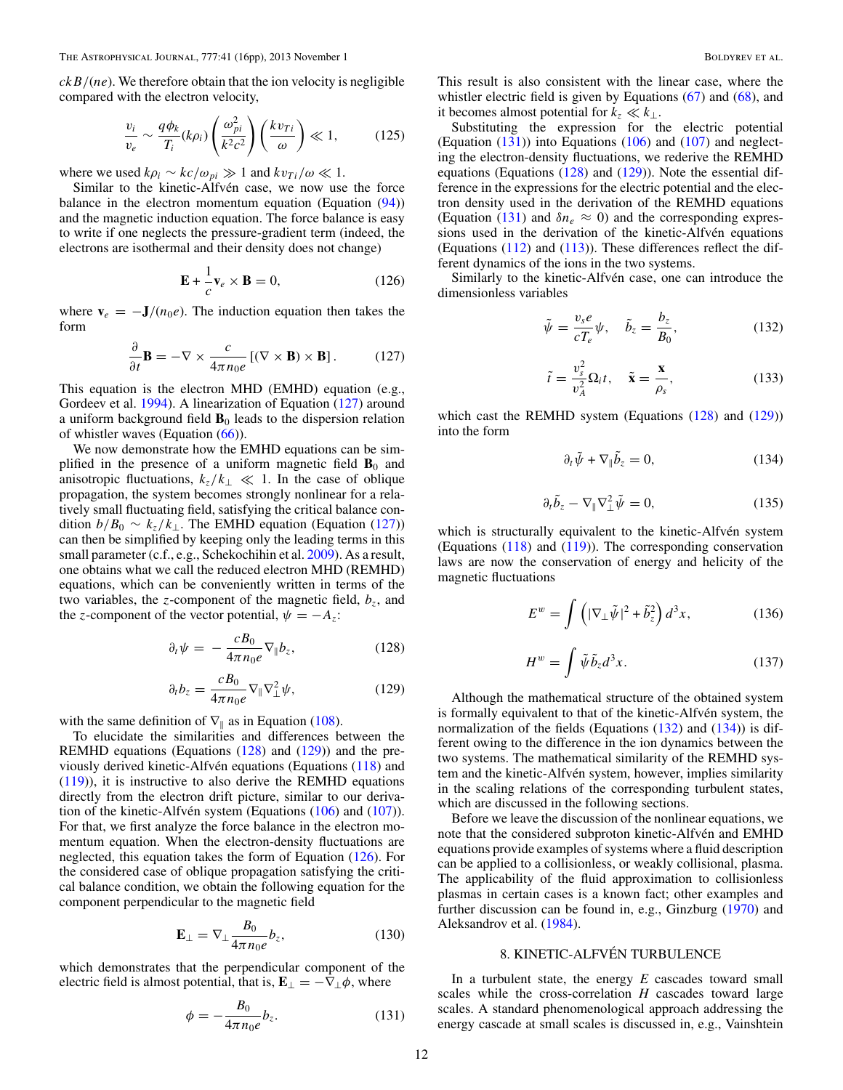<span id="page-11-0"></span>*ckB/*(*ne*). We therefore obtain that the ion velocity is negligible compared with the electron velocity,

$$
\frac{v_i}{v_e} \sim \frac{q\phi_k}{T_i}(k\rho_i) \left(\frac{\omega_{pi}^2}{k^2c^2}\right) \left(\frac{k v_{Ti}}{\omega}\right) \ll 1, \quad (125)
$$

where we used  $k\rho_i \sim kc/\omega_{pi} \gg 1$  and  $kv_{Ti}/\omega \ll 1$ .

Similar to the kinetic-Alfvén case, we now use the force balance in the electron momentum equation (Equation [\(94\)](#page-8-0)) and the magnetic induction equation. The force balance is easy to write if one neglects the pressure-gradient term (indeed, the electrons are isothermal and their density does not change)

$$
\mathbf{E} + \frac{1}{c}\mathbf{v}_e \times \mathbf{B} = 0,\tag{126}
$$

where  $\mathbf{v}_e = -\mathbf{J}/(n_0e)$ . The induction equation then takes the form

$$
\frac{\partial}{\partial t} \mathbf{B} = -\nabla \times \frac{c}{4\pi n_0 e} \left[ (\nabla \times \mathbf{B}) \times \mathbf{B} \right]. \tag{127}
$$

This equation is the electron MHD (EMHD) equation (e.g., Gordeev et al. [1994\)](#page-15-0). A linearization of Equation (127) around a uniform background field  $\mathbf{B}_0$  leads to the dispersion relation of whistler waves (Equation  $(66)$ ).

We now demonstrate how the EMHD equations can be simplified in the presence of a uniform magnetic field  $\mathbf{B}_0$  and anisotropic fluctuations,  $k_z/k_\perp \ll 1$ . In the case of oblique propagation, the system becomes strongly nonlinear for a relatively small fluctuating field, satisfying the critical balance condition  $b/B_0 \sim k_z/k_{\perp}$ . The EMHD equation (Equation (127)) can then be simplified by keeping only the leading terms in this small parameter (c.f., e.g., Schekochihin et al. [2009\)](#page-15-0). As a result, one obtains what we call the reduced electron MHD (REMHD) equations, which can be conveniently written in terms of the two variables, the *z*-component of the magnetic field,  $b_z$ , and the *z*-component of the vector potential,  $\psi = -A_z$ .

$$
\partial_t \psi = -\frac{c B_0}{4\pi n_0 e} \nabla_{\parallel} b_z, \qquad (128)
$$

$$
\partial_t b_z = \frac{c B_0}{4\pi n_0 e} \nabla_{\parallel} \nabla_{\perp}^2 \psi, \qquad (129)
$$

with the same definition of  $\nabla$  as in Equation [\(108\)](#page-9-0).

To elucidate the similarities and differences between the REMHD equations (Equations (128) and (129)) and the previously derived kinetic-Alfvén equations (Equations  $(118)$  $(118)$ ) and [\(119\)](#page-10-0)), it is instructive to also derive the REMHD equations directly from the electron drift picture, similar to our derivation of the kinetic-Alfvén system (Equations  $(106)$  $(106)$  and  $(107)$ ). For that, we first analyze the force balance in the electron momentum equation. When the electron-density fluctuations are neglected, this equation takes the form of Equation (126). For the considered case of oblique propagation satisfying the critical balance condition, we obtain the following equation for the component perpendicular to the magnetic field

$$
\mathbf{E}_{\perp} = \nabla_{\perp} \frac{B_0}{4\pi n_0 e} b_z, \tag{130}
$$

which demonstrates that the perpendicular component of the electric field is almost potential, that is,  $\mathbf{E}_{\perp} = -\nabla_{\perp} \phi$ , where

$$
\phi = -\frac{B_0}{4\pi n_0 e} b_z. \tag{131}
$$

This result is also consistent with the linear case, where the whistler electric field is given by Equations  $(67)$  and  $(68)$ , and it becomes almost potential for  $k_z \ll k_\perp$ .

Substituting the expression for the electric potential (Equation (131)) into Equations [\(106\)](#page-9-0) and [\(107\)](#page-9-0) and neglecting the electron-density fluctuations, we rederive the REMHD equations (Equations (128) and (129)). Note the essential difference in the expressions for the electric potential and the electron density used in the derivation of the REMHD equations (Equation (131) and  $\delta n_e \approx 0$ ) and the corresponding expressions used in the derivation of the kinetic-Alfvén equations (Equations [\(112\)](#page-10-0) and [\(113\)](#page-10-0)). These differences reflect the different dynamics of the ions in the two systems.

Similarly to the kinetic-Alfvén case, one can introduce the dimensionless variables

$$
\tilde{\psi} = \frac{v_s e}{cT_e} \psi, \quad \tilde{b}_z = \frac{b_z}{B_0}, \tag{132}
$$

$$
\tilde{t} = \frac{v_s^2}{v_A^2} \Omega_i t, \quad \tilde{\mathbf{x}} = \frac{\mathbf{x}}{\rho_s}, \tag{133}
$$

which cast the REMHD system (Equations (128) and (129)) into the form

$$
\partial_t \tilde{\psi} + \nabla_{\parallel} \tilde{b}_z = 0, \qquad (134)
$$

$$
\partial_t \tilde{b}_z - \nabla_{\parallel} \nabla_{\perp}^2 \tilde{\psi} = 0, \qquad (135)
$$

which is structurally equivalent to the kinetic-Alfvén system (Equations [\(118\)](#page-10-0) and [\(119\)](#page-10-0)). The corresponding conservation laws are now the conservation of energy and helicity of the magnetic fluctuations

$$
E^w = \int \left( |\nabla_\perp \tilde{\psi}|^2 + \tilde{b}_z^2 \right) d^3 x,\tag{136}
$$

$$
H^w = \int \tilde{\psi} \tilde{b}_z d^3 x. \tag{137}
$$

Although the mathematical structure of the obtained system is formally equivalent to that of the kinetic-Alfvén system, the normalization of the fields (Equations  $(132)$  and  $(134)$ ) is different owing to the difference in the ion dynamics between the two systems. The mathematical similarity of the REMHD system and the kinetic-Alfvén system, however, implies similarity in the scaling relations of the corresponding turbulent states, which are discussed in the following sections.

Before we leave the discussion of the nonlinear equations, we note that the considered subproton kinetic-Alfvén and EMHD equations provide examples of systems where a fluid description can be applied to a collisionless, or weakly collisional, plasma. The applicability of the fluid approximation to collisionless plasmas in certain cases is a known fact; other examples and further discussion can be found in, e.g., Ginzburg [\(1970\)](#page-15-0) and Aleksandrov et al. [\(1984\)](#page-14-0).

## 8. KINETIC-ALFVÉN TURBULENCE

In a turbulent state, the energy *E* cascades toward small scales while the cross-correlation *H* cascades toward large scales. A standard phenomenological approach addressing the energy cascade at small scales is discussed in, e.g., Vainshtein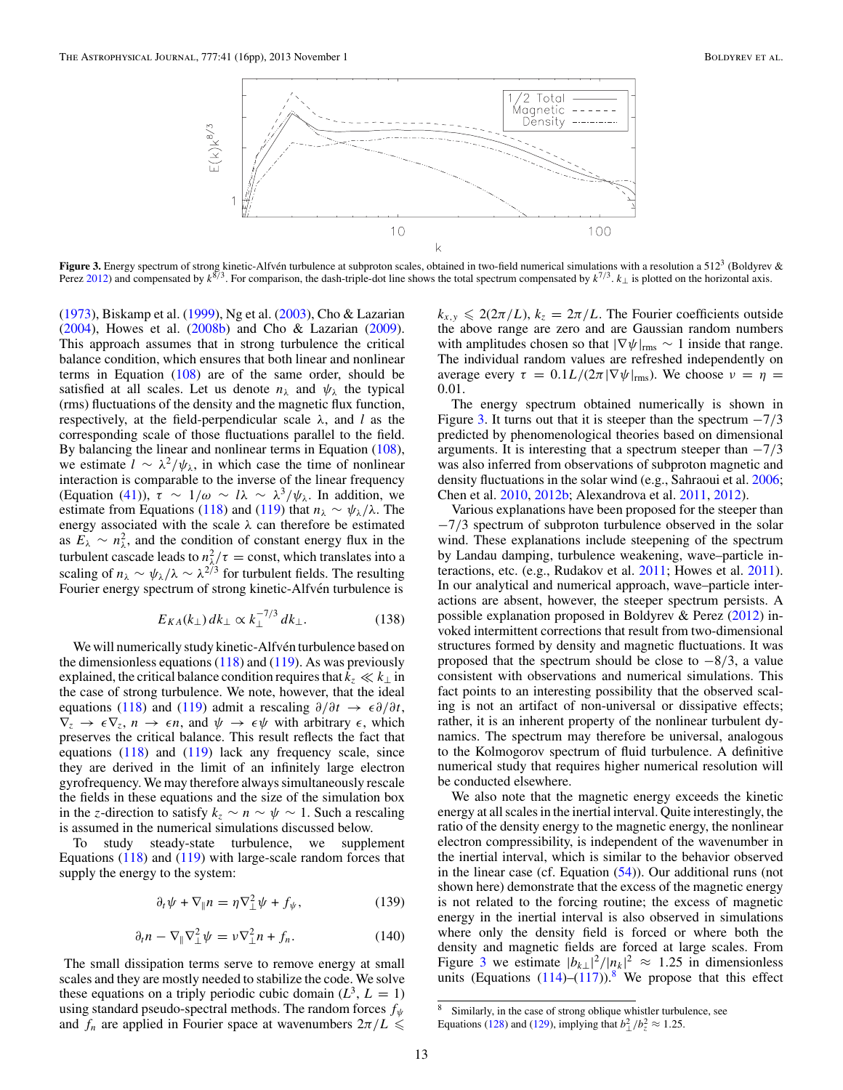<span id="page-12-0"></span>

**Figure 3.** Energy spectrum of strong kinetic-Alfvén turbulence at subproton scales, obtained in two-field numerical simulations with a resolution a 512<sup>3</sup> (Boldyrev & Perez [2012\)](#page-14-0) and compensated by *<sup>k</sup>*8*/*3. For comparison, the dash-triple-dot line shows the total spectrum compensated by *<sup>k</sup>*7*/*3. *<sup>k</sup>*<sup>⊥</sup> is plotted on the horizontal axis.

[\(1973\)](#page-15-0), Biskamp et al. [\(1999\)](#page-14-0), Ng et al. [\(2003\)](#page-15-0), Cho & Lazarian [\(2004\)](#page-15-0), Howes et al. [\(2008b\)](#page-15-0) and Cho & Lazarian [\(2009\)](#page-15-0). This approach assumes that in strong turbulence the critical balance condition, which ensures that both linear and nonlinear terms in Equation  $(108)$  are of the same order, should be satisfied at all scales. Let us denote  $n_{\lambda}$  and  $\psi_{\lambda}$  the typical (rms) fluctuations of the density and the magnetic flux function, respectively, at the field-perpendicular scale *λ*, and *l* as the corresponding scale of those fluctuations parallel to the field. By balancing the linear and nonlinear terms in Equation [\(108\)](#page-9-0), we estimate  $l \sim \lambda^2/\psi_{\lambda}$ , in which case the time of nonlinear interaction is comparable to the inverse of the linear frequency (Equation [\(41\)](#page-4-0)), *<sup>τ</sup>* <sup>∼</sup> <sup>1</sup>*/ω* <sup>∼</sup> *lλ* <sup>∼</sup> *<sup>λ</sup>*<sup>3</sup>*/ψλ*. In addition, we estimate from Equations [\(118\)](#page-10-0) and [\(119\)](#page-10-0) that  $n_{\lambda} \sim \psi_{\lambda}/\lambda$ . The energy associated with the scale *λ* can therefore be estimated as  $E_{\lambda} \sim n_{\lambda}^2$ , and the condition of constant energy flux in the turbulent cascade leads to  $n_{\lambda/7}^2 = \text{const}$ , which translates into a scaling of  $n_{\lambda} \sim \psi_{\lambda}/\lambda \sim \lambda^{2/3}$  for turbulent fields. The resulting Fourier energy spectrum of strong kinetic-Alfvén turbulence is

$$
E_{KA}(k_{\perp})dk_{\perp} \propto k_{\perp}^{-7/3} dk_{\perp}.
$$
 (138)

We will numerically study kinetic-Alfvén turbulence based on the dimensionless equations  $(118)$  and  $(119)$ . As was previously explained, the critical balance condition requires that  $k_z \ll k_\perp$  in the case of strong turbulence. We note, however, that the ideal equations [\(118\)](#page-10-0) and [\(119\)](#page-10-0) admit a rescaling  $\partial/\partial t \rightarrow \epsilon \partial/\partial t$ ,  $\nabla_z \rightarrow \epsilon \nabla_z$ ,  $n \rightarrow \epsilon n$ , and  $\psi \rightarrow \epsilon \psi$  with arbitrary  $\epsilon$ , which preserves the critical balance. This result reflects the fact that equations  $(118)$  and  $(119)$  lack any frequency scale, since they are derived in the limit of an infinitely large electron gyrofrequency. We may therefore always simultaneously rescale the fields in these equations and the size of the simulation box in the *z*-direction to satisfy  $k_z \sim n \sim \psi \sim 1$ . Such a rescaling is assumed in the numerical simulations discussed below.

To study steady-state turbulence, we supplement Equations  $(118)$  and  $(119)$  with large-scale random forces that supply the energy to the system:

$$
\partial_t \psi + \nabla_{\parallel} n = \eta \nabla_{\perp}^2 \psi + f_{\psi}, \qquad (139)
$$

$$
\partial_t n - \nabla_{\parallel} \nabla_{\perp}^2 \psi = \nu \nabla_{\perp}^2 n + f_n. \tag{140}
$$

The small dissipation terms serve to remove energy at small scales and they are mostly needed to stabilize the code. We solve these equations on a triply periodic cubic domain  $(L^3, L = 1)$ using standard pseudo-spectral methods. The random forces *fψ* and  $f_n$  are applied in Fourier space at wavenumbers  $2\pi/L \leq$ 

 $k_{x,y} \leq 2(2\pi/L)$ ,  $k_z = 2\pi/L$ . The Fourier coefficients outside the above range are zero and are Gaussian random numbers with amplitudes chosen so that  $|\nabla \psi|_{\text{rms}} \sim 1$  inside that range. The individual random values are refreshed independently on average every  $\tau = 0.1L/(2\pi |\nabla \psi|_{\text{rms}})$ . We choose  $\nu = \eta =$ 0*.*01.

The energy spectrum obtained numerically is shown in Figure 3. It turns out that it is steeper than the spectrum −7*/*3 predicted by phenomenological theories based on dimensional arguments. It is interesting that a spectrum steeper than −7*/*3 was also inferred from observations of subproton magnetic and density fluctuations in the solar wind (e.g., Sahraoui et al. [2006;](#page-15-0) Chen et al. [2010,](#page-15-0) [2012b;](#page-15-0) Alexandrova et al. [2011,](#page-14-0) [2012\)](#page-14-0).

Various explanations have been proposed for the steeper than −7*/*3 spectrum of subproton turbulence observed in the solar wind. These explanations include steepening of the spectrum by Landau damping, turbulence weakening, wave–particle interactions, etc. (e.g., Rudakov et al. [2011;](#page-15-0) Howes et al. [2011\)](#page-15-0). In our analytical and numerical approach, wave–particle interactions are absent, however, the steeper spectrum persists. A possible explanation proposed in Boldyrev & Perez [\(2012\)](#page-14-0) invoked intermittent corrections that result from two-dimensional structures formed by density and magnetic fluctuations. It was proposed that the spectrum should be close to −8*/*3, a value consistent with observations and numerical simulations. This fact points to an interesting possibility that the observed scaling is not an artifact of non-universal or dissipative effects; rather, it is an inherent property of the nonlinear turbulent dynamics. The spectrum may therefore be universal, analogous to the Kolmogorov spectrum of fluid turbulence. A definitive numerical study that requires higher numerical resolution will be conducted elsewhere.

We also note that the magnetic energy exceeds the kinetic energy at all scales in the inertial interval. Quite interestingly, the ratio of the density energy to the magnetic energy, the nonlinear electron compressibility, is independent of the wavenumber in the inertial interval, which is similar to the behavior observed in the linear case (cf. Equation  $(54)$ ). Our additional runs (not shown here) demonstrate that the excess of the magnetic energy is not related to the forcing routine; the excess of magnetic energy in the inertial interval is also observed in simulations where only the density field is forced or where both the density and magnetic fields are forced at large scales. From Figure 3 we estimate  $|b_{k\perp}|^2 / |n_k|^2 \approx 1.25$  in dimensionless units (Equations  $(114)$ – $(117)$ ).<sup>8</sup> We propose that this effect

<sup>8</sup> Similarly, in the case of strong oblique whistler turbulence, see Equations [\(128\)](#page-11-0) and [\(129\)](#page-11-0), implying that  $b_\perp^2/b_z^2 \approx 1.25$ .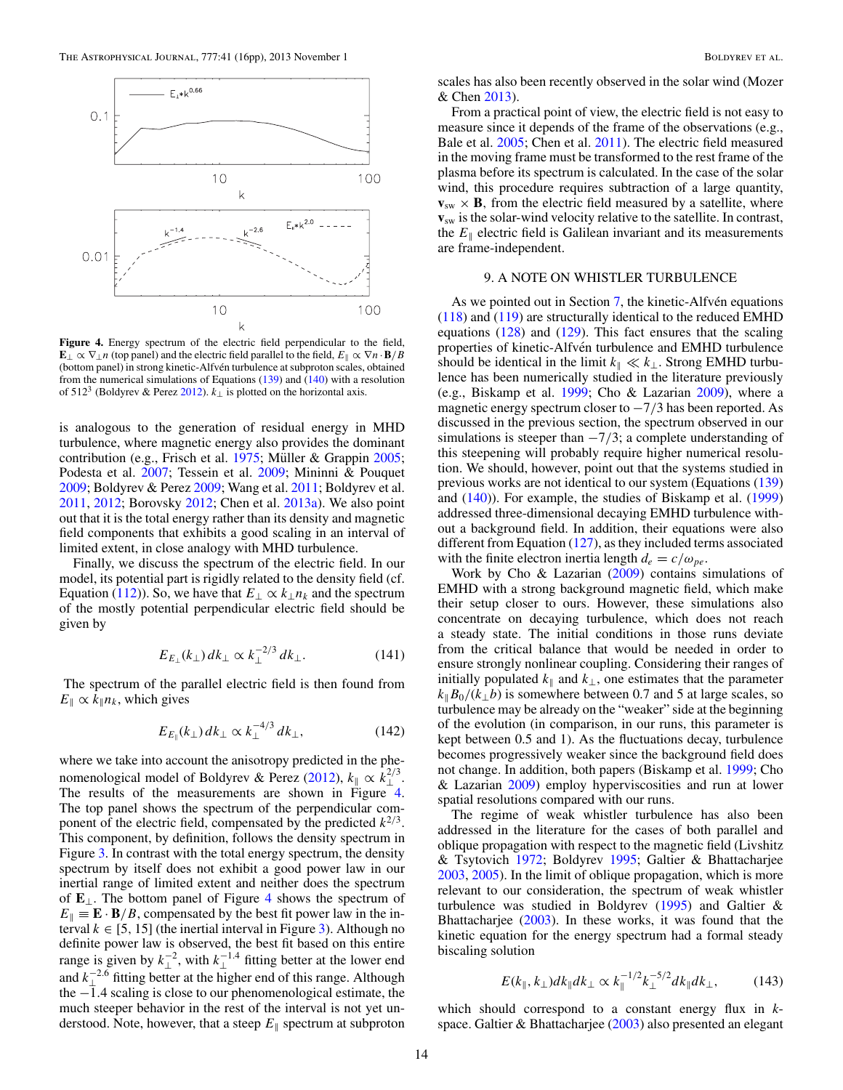<span id="page-13-0"></span>

**Figure 4.** Energy spectrum of the electric field perpendicular to the field,  $\mathbf{E}_{\perp} \propto \nabla_{\perp} n$  (top panel) and the electric field parallel to the field,  $E_{\parallel} \propto \nabla n \cdot \mathbf{B}/B$ (bottom panel) in strong kinetic-Alfvén turbulence at subproton scales, obtained from the numerical simulations of Equations  $(139)$  and  $(140)$  with a resolution of 512<sup>3</sup> (Boldyrev & Perez [2012\)](#page-14-0).  $k_{\perp}$  is plotted on the horizontal axis.

is analogous to the generation of residual energy in MHD turbulence, where magnetic energy also provides the dominant contribution (e.g., Frisch et al.  $1975$ ; Müller & Grappin [2005;](#page-15-0) Podesta et al. [2007;](#page-15-0) Tessein et al. [2009;](#page-15-0) Mininni & Pouquet [2009;](#page-15-0) Boldyrev & Perez [2009;](#page-14-0) Wang et al. [2011;](#page-15-0) Boldyrev et al. [2011,](#page-15-0) [2012;](#page-15-0) Borovsky [2012;](#page-15-0) Chen et al. [2013a\)](#page-15-0). We also point out that it is the total energy rather than its density and magnetic field components that exhibits a good scaling in an interval of limited extent, in close analogy with MHD turbulence.

Finally, we discuss the spectrum of the electric field. In our model, its potential part is rigidly related to the density field (cf. Equation [\(112\)](#page-10-0)). So, we have that  $E_{\perp} \propto k_{\perp} n_k$  and the spectrum of the mostly potential perpendicular electric field should be given by

$$
E_{E_{\perp}}(k_{\perp})dk_{\perp} \propto k_{\perp}^{-2/3} dk_{\perp}.
$$
 (141)

The spectrum of the parallel electric field is then found from  $E_{\parallel} \propto k_{\parallel} n_k$ , which gives

$$
E_{E_{\parallel}}(k_{\perp})dk_{\perp} \propto k_{\perp}^{-4/3} dk_{\perp}, \qquad (142)
$$

where we take into account the anisotropy predicted in the phe-nomenological model of Boldyrev & Perez [\(2012\)](#page-14-0),  $k_{\parallel} \propto k_{\perp}^{2/3}$ . The results of the measurements are shown in Figure 4. The top panel shows the spectrum of the perpendicular component of the electric field, compensated by the predicted  $k^{2/3}$ . This component, by definition, follows the density spectrum in Figure [3.](#page-12-0) In contrast with the total energy spectrum, the density spectrum by itself does not exhibit a good power law in our inertial range of limited extent and neither does the spectrum of **E**⊥. The bottom panel of Figure 4 shows the spectrum of  $E_{\parallel} \equiv \mathbf{E} \cdot \mathbf{B}/B$ , compensated by the best fit power law in the interval  $k \in [5, 15]$  (the inertial interval in Figure [3\)](#page-12-0). Although no definite power law is observed, the best fit based on this entire range is given by  $k_{\perp}^{-2}$ , with  $k_{\perp}^{-1.4}$  fitting better at the lower end and  $k_{\perp}^{-2.6}$  fitting better at the higher end of this range. Although the −1*.*4 scaling is close to our phenomenological estimate, the much steeper behavior in the rest of the interval is not yet understood. Note, however, that a steep  $E_{\parallel}$  spectrum at subproton

scales has also been recently observed in the solar wind (Mozer & Chen [2013\)](#page-15-0).

From a practical point of view, the electric field is not easy to measure since it depends of the frame of the observations (e.g., Bale et al. [2005;](#page-14-0) Chen et al. [2011\)](#page-15-0). The electric field measured in the moving frame must be transformed to the rest frame of the plasma before its spectrum is calculated. In the case of the solar wind, this procedure requires subtraction of a large quantity, **, from the electric field measured by a satellite, where v**sw is the solar-wind velocity relative to the satellite. In contrast, the  $E_{\parallel}$  electric field is Galilean invariant and its measurements are frame-independent.

### 9. A NOTE ON WHISTLER TURBULENCE

As we pointed out in Section  $7$ , the kinetic-Alfvén equations [\(118\)](#page-10-0) and [\(119\)](#page-10-0) are structurally identical to the reduced EMHD equations  $(128)$  and  $(129)$ . This fact ensures that the scaling properties of kinetic-Alfvén turbulence and EMHD turbulence should be identical in the limit  $k_{\parallel} \ll k_{\perp}$ . Strong EMHD turbulence has been numerically studied in the literature previously (e.g., Biskamp et al. [1999;](#page-14-0) Cho & Lazarian [2009\)](#page-15-0), where a magnetic energy spectrum closer to −7*/*3 has been reported. As discussed in the previous section, the spectrum observed in our simulations is steeper than −7*/*3; a complete understanding of this steepening will probably require higher numerical resolution. We should, however, point out that the systems studied in previous works are not identical to our system (Equations [\(139\)](#page-12-0) and [\(140\)](#page-12-0)). For example, the studies of Biskamp et al. [\(1999\)](#page-14-0) addressed three-dimensional decaying EMHD turbulence without a background field. In addition, their equations were also different from Equation [\(127\)](#page-11-0), as they included terms associated with the finite electron inertia length  $d_e = c/\omega_{pe}$ .

Work by Cho  $&$  Lazarian [\(2009\)](#page-15-0) contains simulations of EMHD with a strong background magnetic field, which make their setup closer to ours. However, these simulations also concentrate on decaying turbulence, which does not reach a steady state. The initial conditions in those runs deviate from the critical balance that would be needed in order to ensure strongly nonlinear coupling. Considering their ranges of initially populated  $k_{\parallel}$  and  $k_{\perp}$ , one estimates that the parameter  $k_{\parallel}B_0/(k_{\perp}b)$  is somewhere between 0.7 and 5 at large scales, so turbulence may be already on the "weaker" side at the beginning of the evolution (in comparison, in our runs, this parameter is kept between 0.5 and 1). As the fluctuations decay, turbulence becomes progressively weaker since the background field does not change. In addition, both papers (Biskamp et al. [1999;](#page-14-0) Cho & Lazarian [2009\)](#page-15-0) employ hyperviscosities and run at lower spatial resolutions compared with our runs.

The regime of weak whistler turbulence has also been addressed in the literature for the cases of both parallel and oblique propagation with respect to the magnetic field (Livshitz & Tsytovich [1972;](#page-15-0) Boldyrev [1995;](#page-14-0) Galtier & Bhattacharjee [2003,](#page-15-0) [2005\)](#page-15-0). In the limit of oblique propagation, which is more relevant to our consideration, the spectrum of weak whistler turbulence was studied in Boldyrev [\(1995\)](#page-14-0) and Galtier & Bhattacharjee [\(2003\)](#page-15-0). In these works, it was found that the kinetic equation for the energy spectrum had a formal steady biscaling solution

$$
E(k_{\parallel}, k_{\perp})dk_{\parallel}dk_{\perp} \propto k_{\parallel}^{-1/2}k_{\perp}^{-5/2}dk_{\parallel}dk_{\perp}, \qquad (143)
$$

which should correspond to a constant energy flux in *k*space. Galtier & Bhattacharjee [\(2003\)](#page-15-0) also presented an elegant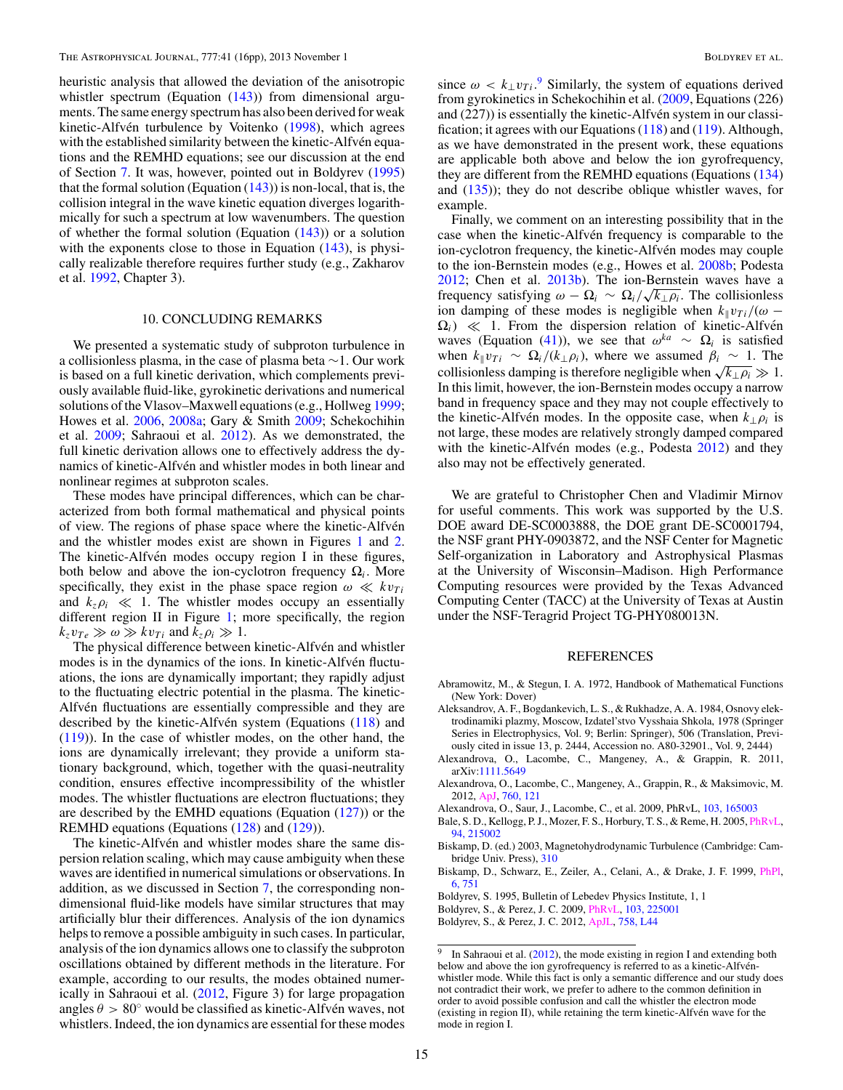<span id="page-14-0"></span>heuristic analysis that allowed the deviation of the anisotropic whistler spectrum (Equation [\(143\)](#page-13-0)) from dimensional arguments. The same energy spectrum has also been derived for weak kinetic-Alfvén turbulence by Voitenko ([1998\)](#page-15-0), which agrees with the established similarity between the kinetic-Alfvén equations and the REMHD equations; see our discussion at the end of Section [7.](#page-10-0) It was, however, pointed out in Boldyrev (1995) that the formal solution (Equation  $(143)$ ) is non-local, that is, the collision integral in the wave kinetic equation diverges logarithmically for such a spectrum at low wavenumbers. The question of whether the formal solution (Equation  $(143)$ ) or a solution with the exponents close to those in Equation [\(143\)](#page-13-0), is physically realizable therefore requires further study (e.g., Zakharov et al. [1992,](#page-15-0) Chapter 3).

## 10. CONCLUDING REMARKS

We presented a systematic study of subproton turbulence in a collisionless plasma, in the case of plasma beta ∼1. Our work is based on a full kinetic derivation, which complements previously available fluid-like, gyrokinetic derivations and numerical solutions of the Vlasov–Maxwell equations (e.g., Hollweg [1999;](#page-15-0) Howes et al. [2006,](#page-15-0) [2008a;](#page-15-0) Gary & Smith [2009;](#page-15-0) Schekochihin et al. [2009;](#page-15-0) Sahraoui et al. [2012\)](#page-15-0). As we demonstrated, the full kinetic derivation allows one to effectively address the dynamics of kinetic-Alfvén and whistler modes in both linear and nonlinear regimes at subproton scales.

These modes have principal differences, which can be characterized from both formal mathematical and physical points of view. The regions of phase space where the kinetic-Alfvén and the whistler modes exist are shown in Figures [1](#page-2-0) and [2.](#page-2-0) The kinetic-Alfvén modes occupy region I in these figures, both below and above the ion-cyclotron frequency  $\Omega_i$ . More specifically, they exist in the phase space region  $\omega \ll k v_{Ti}$ and  $k_z \rho_i \ll 1$ . The whistler modes occupy an essentially different region II in Figure [1;](#page-2-0) more specifically, the region  $k_z v_{Te} \gg \omega \gg k v_{Ti}$  and  $k_z \rho_i \gg 1$ .

The physical difference between kinetic-Alfvén and whistler modes is in the dynamics of the ions. In kinetic-Alfvén fluctuations, the ions are dynamically important; they rapidly adjust to the fluctuating electric potential in the plasma. The kinetic-Alfvén fluctuations are essentially compressible and they are described by the kinetic-Alfvén system (Equations  $(118)$  $(118)$ ) and [\(119\)](#page-10-0)). In the case of whistler modes, on the other hand, the ions are dynamically irrelevant; they provide a uniform stationary background, which, together with the quasi-neutrality condition, ensures effective incompressibility of the whistler modes. The whistler fluctuations are electron fluctuations; they are described by the EMHD equations (Equation  $(127)$ ) or the REMHD equations (Equations [\(128\)](#page-11-0) and [\(129\)](#page-11-0)).

The kinetic-Alfvén and whistler modes share the same dispersion relation scaling, which may cause ambiguity when these waves are identified in numerical simulations or observations. In addition, as we discussed in Section [7,](#page-10-0) the corresponding nondimensional fluid-like models have similar structures that may artificially blur their differences. Analysis of the ion dynamics helps to remove a possible ambiguity in such cases. In particular, analysis of the ion dynamics allows one to classify the subproton oscillations obtained by different methods in the literature. For example, according to our results, the modes obtained numerically in Sahraoui et al. [\(2012,](#page-15-0) Figure 3) for large propagation angles  $\theta > 80^\circ$  would be classified as kinetic-Alfven waves, not whistlers. Indeed, the ion dynamics are essential for these modes

since  $\omega < k_{\perp}v_{Ti}$ .<sup>9</sup> Similarly, the system of equations derived from gyrokinetics in Schekochihin et al. [\(2009,](#page-15-0) Equations (226) and (227)) is essentially the kinetic-Alfvén system in our classification; it agrees with our Equations  $(118)$  and  $(119)$ . Although, as we have demonstrated in the present work, these equations are applicable both above and below the ion gyrofrequency, they are different from the REMHD equations (Equations [\(134\)](#page-11-0) and  $(135)$ ; they do not describe oblique whistler waves, for example.

Finally, we comment on an interesting possibility that in the case when the kinetic-Alfvén frequency is comparable to the ion-cyclotron frequency, the kinetic-Alfvén modes may couple to the ion-Bernstein modes (e.g., Howes et al. [2008b;](#page-15-0) Podesta [2012;](#page-15-0) Chen et al. [2013b\)](#page-15-0). The ion-Bernstein waves have a frequency satisfying  $\omega - \Omega_i \sim \Omega_i / \sqrt{k_{\perp} \rho_i}$ . The collisionless ion damping of these modes is negligible when  $k_{\parallel}v_{Ti}/(\omega \Omega_i$ )  $\ll$  1. From the dispersion relation of kinetic-Alfvén waves (Equation [\(41\)](#page-4-0)), we see that  $\omega^{ka} \sim \Omega_i$  is satisfied when  $k_{\parallel}v_{Ti} \sim \Omega_i/(k_{\perp}\rho_i)$ , where we assumed  $\beta_i \sim 1$ . The collisionless damping is therefore negligible when  $\sqrt{k_{\perp} \rho_i} \gg 1$ . In this limit, however, the ion-Bernstein modes occupy a narrow band in frequency space and they may not couple effectively to the kinetic-Alfvén modes. In the opposite case, when  $k_\perp \rho_i$  is not large, these modes are relatively strongly damped compared with the kinetic-Alfvén modes  $(e.g., Podesta 2012)$  $(e.g., Podesta 2012)$  and they also may not be effectively generated.

We are grateful to Christopher Chen and Vladimir Mirnov for useful comments. This work was supported by the U.S. DOE award DE-SC0003888, the DOE grant DE-SC0001794, the NSF grant PHY-0903872, and the NSF Center for Magnetic Self-organization in Laboratory and Astrophysical Plasmas at the University of Wisconsin–Madison. High Performance Computing resources were provided by the Texas Advanced Computing Center (TACC) at the University of Texas at Austin under the NSF-Teragrid Project TG-PHY080013N.

#### REFERENCES

- Abramowitz, M., & Stegun, I. A. 1972, Handbook of Mathematical Functions (New York: Dover)
- Aleksandrov, A. F., Bogdankevich, L. S., & Rukhadze, A. A. 1984, Osnovy elektrodinamiki plazmy, Moscow, Izdatel'stvo Vysshaia Shkola, 1978 (Springer Series in Electrophysics, Vol. 9; Berlin: Springer), 506 (Translation, Previously cited in issue 13, p. 2444, Accession no. A80-32901., Vol. 9, 2444)
- Alexandrova, O., Lacombe, C., Mangeney, A., & Grappin, R. 2011, arXiv[:1111.5649](http://www.arxiv.org/abs/1111.5649)
- Alexandrova, O., Lacombe, C., Mangeney, A., Grappin, R., & Maksimovic, M. 2012, [ApJ,](http://dx.doi.org/10.1088/0004-637X/760/2/121) [760, 121](http://adsabs.harvard.edu/abs/2012ApJ...760..121A)
- Alexandrova, O., Saur, J., Lacombe, C., et al. 2009, PhRvL, [103, 165003](http://adsabs.harvard.edu/abs/2009PhRvL.103p5003A)
- Bale, S. D., Kellogg, P. J., Mozer, F. S., Horbury, T. S., & Reme, H. 2005, [PhRvL,](http://dx.doi.org/10.1103/PhysRevLett.94.215002) [94, 215002](http://adsabs.harvard.edu/abs/2005PhRvL..94u5002B)
- Biskamp, D. (ed.) 2003, Magnetohydrodynamic Turbulence (Cambridge: Cambridge Univ. Press), [310](http://adsabs.harvard.edu/abs/2003matu.book.....B)
- Biskamp, D., Schwarz, E., Zeiler, A., Celani, A., & Drake, J. F. 1999, [PhPl,](http://dx.doi.org/10.1063/1.873312) [6, 751](http://adsabs.harvard.edu/abs/1999PhPl....6..751B)
- Boldyrev, S. 1995, Bulletin of Lebedev Physics Institute, 1, 1
- Boldyrev, S., & Perez, J. C. 2009, [PhRvL,](http://dx.doi.org/10.1103/PhysRevLett.103.225001) [103, 225001](http://adsabs.harvard.edu/abs/2009PhRvL.103v5001B)
- Boldyrev, S., & Perez, J. C. 2012, [ApJL,](http://dx.doi.org/10.1088/2041-8205/758/2/L44) [758, L44](http://adsabs.harvard.edu/abs/2012ApJ...758L..44B)

<sup>&</sup>lt;sup>9</sup> In Sahraoui et al. [\(2012\)](#page-15-0), the mode existing in region I and extending both below and above the ion gyrofrequency is referred to as a kinetic-Alfvénwhistler mode. While this fact is only a semantic difference and our study does not contradict their work, we prefer to adhere to the common definition in order to avoid possible confusion and call the whistler the electron mode (existing in region II), while retaining the term kinetic-Alfvén wave for the mode in region I.